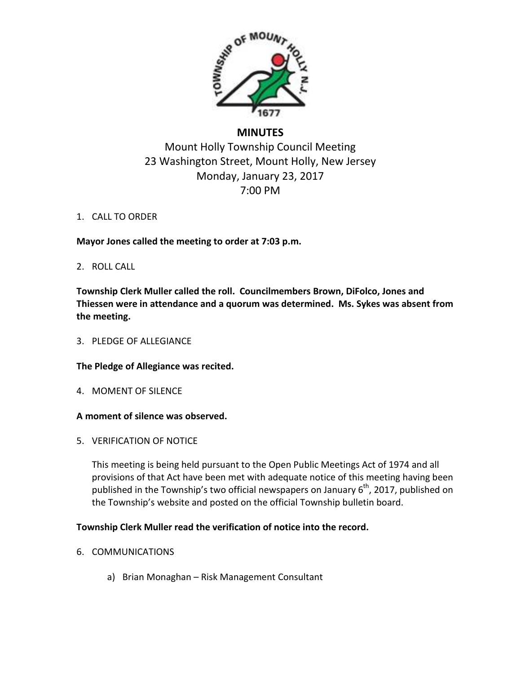

# **MINUTES**

# Mount Holly Township Council Meeting 23 Washington Street, Mount Holly, New Jersey Monday, January 23, 2017 7:00 PM

# 1. CALL TO ORDER

**Mayor Jones called the meeting to order at 7:03 p.m.**

# 2. ROLL CALL

**Township Clerk Muller called the roll. Councilmembers Brown, DiFolco, Jones and Thiessen were in attendance and a quorum was determined. Ms. Sykes was absent from the meeting.**

# 3. PLEDGE OF ALLEGIANCE

# **The Pledge of Allegiance was recited.**

4. MOMENT OF SILENCE

# **A moment of silence was observed.**

5. VERIFICATION OF NOTICE

This meeting is being held pursuant to the Open Public Meetings Act of 1974 and all provisions of that Act have been met with adequate notice of this meeting having been published in the Township's two official newspapers on January  $6<sup>th</sup>$ , 2017, published on the Township's website and posted on the official Township bulletin board.

# **Township Clerk Muller read the verification of notice into the record.**

- 6. COMMUNICATIONS
	- a) Brian Monaghan Risk Management Consultant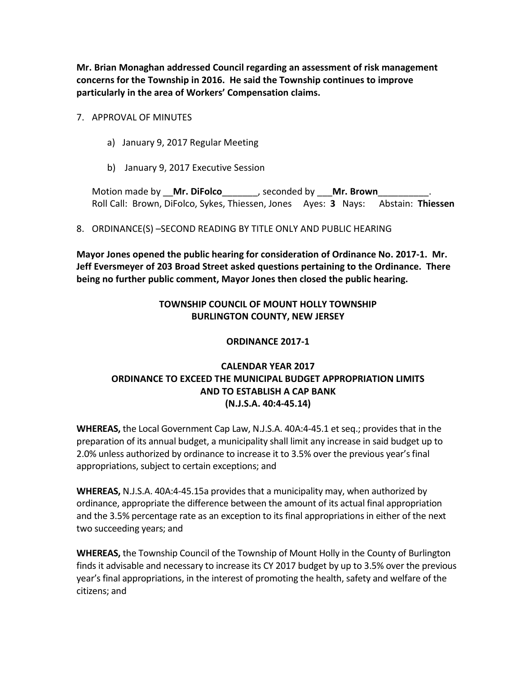**Mr. Brian Monaghan addressed Council regarding an assessment of risk management concerns for the Township in 2016. He said the Township continues to improve particularly in the area of Workers' Compensation claims.**

## 7. APPROVAL OF MINUTES

- a) January 9, 2017 Regular Meeting
- b) January 9, 2017 Executive Session

Motion made by \_\_**Mr. DiFolco**\_\_\_\_\_\_\_, seconded by \_\_\_**Mr. Brown**\_\_\_\_\_\_\_\_\_\_. Roll Call: Brown, DiFolco, Sykes, Thiessen, Jones Ayes: **3** Nays: Abstain: **Thiessen**

## 8. ORDINANCE(S) –SECOND READING BY TITLE ONLY AND PUBLIC HEARING

**Mayor Jones opened the public hearing for consideration of Ordinance No. 2017-1. Mr. Jeff Eversmeyer of 203 Broad Street asked questions pertaining to the Ordinance. There being no further public comment, Mayor Jones then closed the public hearing.**

# **TOWNSHIP COUNCIL OF MOUNT HOLLY TOWNSHIP BURLINGTON COUNTY, NEW JERSEY**

# **ORDINANCE 2017-1**

# **CALENDAR YEAR 2017 ORDINANCE TO EXCEED THE MUNICIPAL BUDGET APPROPRIATION LIMITS AND TO ESTABLISH A CAP BANK (N.J.S.A. 40:4-45.14)**

**WHEREAS,** the Local Government Cap Law, N.J.S.A. 40A:4-45.1 et seq.; provides that in the preparation of its annual budget, a municipality shall limit any increase in said budget up to 2.0% unless authorized by ordinance to increase it to 3.5% over the previous year's final appropriations, subject to certain exceptions; and

**WHEREAS,** N.J.S.A. 40A:4-45.15a provides that a municipality may, when authorized by ordinance, appropriate the difference between the amount of its actual final appropriation and the 3.5% percentage rate as an exception to its final appropriations in either of the next two succeeding years; and

**WHEREAS,** the Township Council of the Township of Mount Holly in the County of Burlington finds it advisable and necessary to increase its CY 2017 budget by up to 3.5% over the previous year's final appropriations, in the interest of promoting the health, safety and welfare of the citizens; and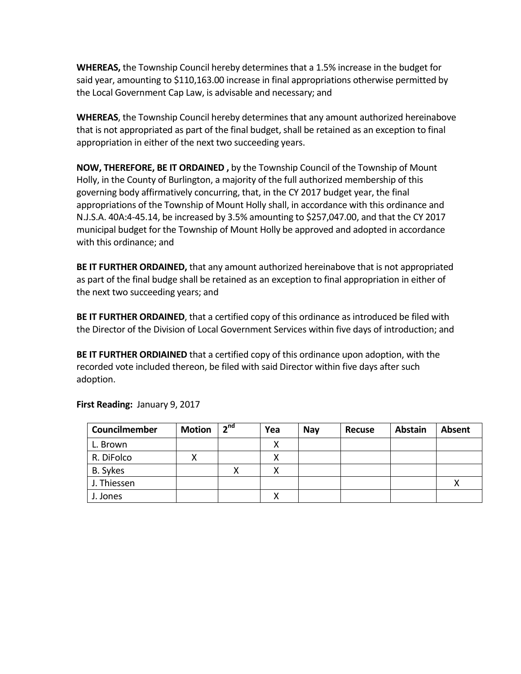**WHEREAS,** the Township Council hereby determines that a 1.5% increase in the budget for said year, amounting to \$110,163.00 increase in final appropriations otherwise permitted by the Local Government Cap Law, is advisable and necessary; and

**WHEREAS**, the Township Council hereby determines that any amount authorized hereinabove that is not appropriated as part of the final budget, shall be retained as an exception to final appropriation in either of the next two succeeding years.

**NOW, THEREFORE, BE IT ORDAINED ,** by the Township Council of the Township of Mount Holly, in the County of Burlington, a majority of the full authorized membership of this governing body affirmatively concurring, that, in the CY 2017 budget year, the final appropriations of the Township of Mount Holly shall, in accordance with this ordinance and N.J.S.A. 40A:4-45.14, be increased by 3.5% amounting to \$257,047.00, and that the CY 2017 municipal budget for the Township of Mount Holly be approved and adopted in accordance with this ordinance; and

**BE IT FURTHER ORDAINED,** that any amount authorized hereinabove that is not appropriated as part of the final budge shall be retained as an exception to final appropriation in either of the next two succeeding years; and

**BE IT FURTHER ORDAINED**, that a certified copy of this ordinance as introduced be filed with the Director of the Division of Local Government Services within five days of introduction; and

**BE IT FURTHER ORDIAINED** that a certified copy of this ordinance upon adoption, with the recorded vote included thereon, be filed with said Director within five days after such adoption.

| Councilmember | <b>Motion</b> | 2 <sup>nd</sup> | Yea | <b>Nav</b> | <b>Recuse</b> | <b>Abstain</b> | Absent |
|---------------|---------------|-----------------|-----|------------|---------------|----------------|--------|
| L. Brown      |               |                 | Χ   |            |               |                |        |
| R. DiFolco    | v<br>∧        |                 | v   |            |               |                |        |
| B. Sykes      |               |                 | x   |            |               |                |        |
| J. Thiessen   |               |                 |     |            |               |                |        |
| J. Jones      |               |                 |     |            |               |                |        |

**First Reading:** January 9, 2017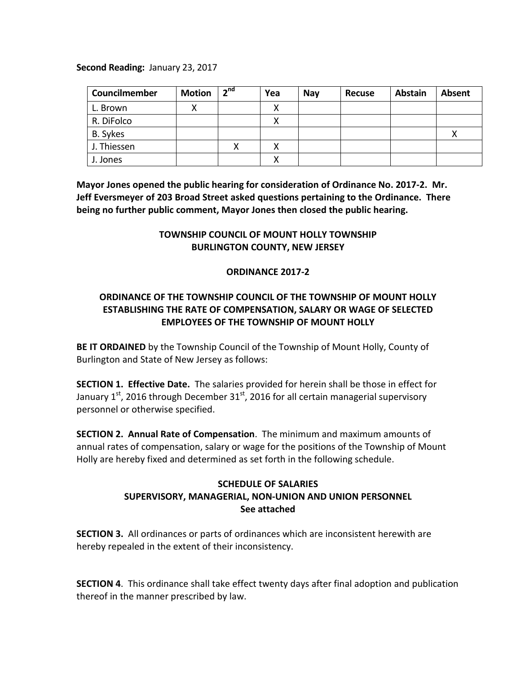## **Second Reading:** January 23, 2017

| Councilmember | <b>Motion</b> | $2^{nd}$ | Yea | <b>Nay</b> | <b>Recuse</b> | <b>Abstain</b> | Absent |
|---------------|---------------|----------|-----|------------|---------------|----------------|--------|
| L. Brown      |               |          | v   |            |               |                |        |
| R. DiFolco    |               |          | x   |            |               |                |        |
| B. Sykes      |               |          |     |            |               |                |        |
| J. Thiessen   |               |          |     |            |               |                |        |
| J. Jones      |               |          |     |            |               |                |        |

**Mayor Jones opened the public hearing for consideration of Ordinance No. 2017-2. Mr. Jeff Eversmeyer of 203 Broad Street asked questions pertaining to the Ordinance. There being no further public comment, Mayor Jones then closed the public hearing.**

# **TOWNSHIP COUNCIL OF MOUNT HOLLY TOWNSHIP BURLINGTON COUNTY, NEW JERSEY**

## **ORDINANCE 2017-2**

# **ORDINANCE OF THE TOWNSHIP COUNCIL OF THE TOWNSHIP OF MOUNT HOLLY ESTABLISHING THE RATE OF COMPENSATION, SALARY OR WAGE OF SELECTED EMPLOYEES OF THE TOWNSHIP OF MOUNT HOLLY**

**BE IT ORDAINED** by the Township Council of the Township of Mount Holly, County of Burlington and State of New Jersey as follows:

**SECTION 1. Effective Date.** The salaries provided for herein shall be those in effect for January 1<sup>st</sup>, 2016 through December 31<sup>st</sup>, 2016 for all certain managerial supervisory personnel or otherwise specified.

**SECTION 2. Annual Rate of Compensation**. The minimum and maximum amounts of annual rates of compensation, salary or wage for the positions of the Township of Mount Holly are hereby fixed and determined as set forth in the following schedule.

# **SCHEDULE OF SALARIES SUPERVISORY, MANAGERIAL, NON-UNION AND UNION PERSONNEL See attached**

**SECTION 3.** All ordinances or parts of ordinances which are inconsistent herewith are hereby repealed in the extent of their inconsistency.

**SECTION 4**. This ordinance shall take effect twenty days after final adoption and publication thereof in the manner prescribed by law.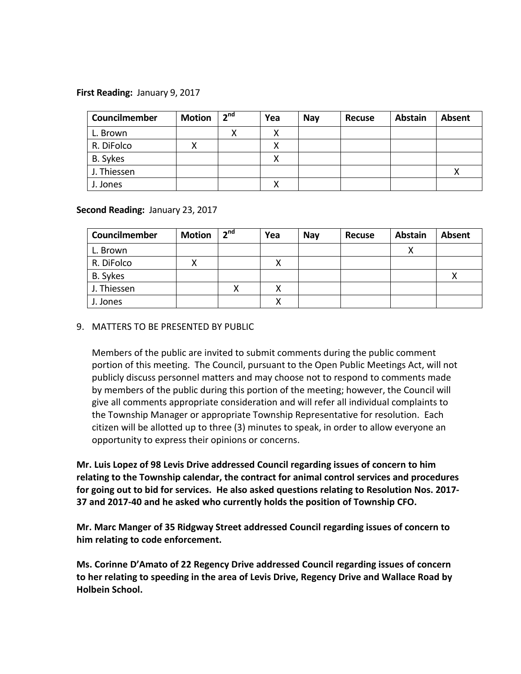## **First Reading:** January 9, 2017

| Councilmember | <b>Motion</b> | 2 <sup>nd</sup> | Yea | <b>Nay</b> | <b>Recuse</b> | <b>Abstain</b> | <b>Absent</b> |
|---------------|---------------|-----------------|-----|------------|---------------|----------------|---------------|
| L. Brown      |               |                 | v   |            |               |                |               |
| R. DiFolco    | х             |                 |     |            |               |                |               |
| B. Sykes      |               |                 |     |            |               |                |               |
| J. Thiessen   |               |                 |     |            |               |                |               |
| J. Jones      |               |                 |     |            |               |                |               |

## **Second Reading:** January 23, 2017

| Councilmember | <b>Motion</b> | 2 <sup>nd</sup> | Yea | <b>Nav</b> | <b>Recuse</b> | <b>Abstain</b> | <b>Absent</b> |
|---------------|---------------|-----------------|-----|------------|---------------|----------------|---------------|
| L. Brown      |               |                 |     |            |               |                |               |
| R. DiFolco    | Λ             |                 |     |            |               |                |               |
| B. Sykes      |               |                 |     |            |               |                |               |
| J. Thiessen   |               |                 |     |            |               |                |               |
| J. Jones      |               |                 |     |            |               |                |               |

## 9. MATTERS TO BE PRESENTED BY PUBLIC

Members of the public are invited to submit comments during the public comment portion of this meeting. The Council, pursuant to the Open Public Meetings Act, will not publicly discuss personnel matters and may choose not to respond to comments made by members of the public during this portion of the meeting; however, the Council will give all comments appropriate consideration and will refer all individual complaints to the Township Manager or appropriate Township Representative for resolution. Each citizen will be allotted up to three (3) minutes to speak, in order to allow everyone an opportunity to express their opinions or concerns.

**Mr. Luis Lopez of 98 Levis Drive addressed Council regarding issues of concern to him relating to the Township calendar, the contract for animal control services and procedures for going out to bid for services. He also asked questions relating to Resolution Nos. 2017- 37 and 2017-40 and he asked who currently holds the position of Township CFO.**

**Mr. Marc Manger of 35 Ridgway Street addressed Council regarding issues of concern to him relating to code enforcement.**

**Ms. Corinne D'Amato of 22 Regency Drive addressed Council regarding issues of concern to her relating to speeding in the area of Levis Drive, Regency Drive and Wallace Road by Holbein School.**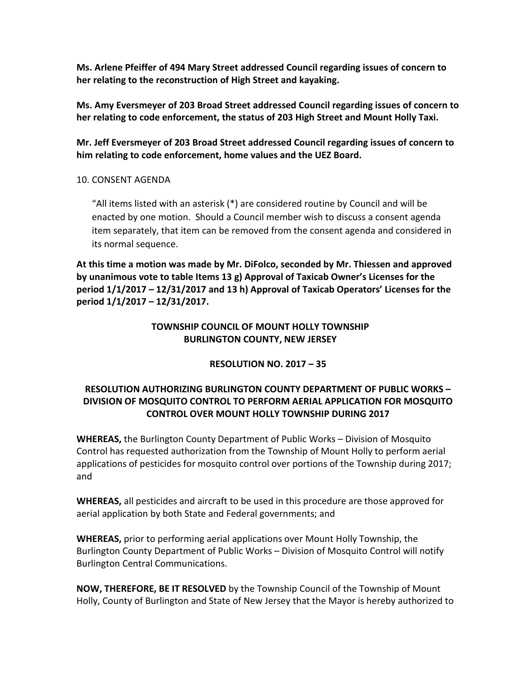**Ms. Arlene Pfeiffer of 494 Mary Street addressed Council regarding issues of concern to her relating to the reconstruction of High Street and kayaking.**

**Ms. Amy Eversmeyer of 203 Broad Street addressed Council regarding issues of concern to her relating to code enforcement, the status of 203 High Street and Mount Holly Taxi.**

**Mr. Jeff Eversmeyer of 203 Broad Street addressed Council regarding issues of concern to him relating to code enforcement, home values and the UEZ Board.**

## 10. CONSENT AGENDA

"All items listed with an asterisk (\*) are considered routine by Council and will be enacted by one motion. Should a Council member wish to discuss a consent agenda item separately, that item can be removed from the consent agenda and considered in its normal sequence.

**At this time a motion was made by Mr. DiFolco, seconded by Mr. Thiessen and approved by unanimous vote to table Items 13 g) Approval of Taxicab Owner's Licenses for the period 1/1/2017 – 12/31/2017 and 13 h) Approval of Taxicab Operators' Licenses for the period 1/1/2017 – 12/31/2017.**

# **TOWNSHIP COUNCIL OF MOUNT HOLLY TOWNSHIP BURLINGTON COUNTY, NEW JERSEY**

# **RESOLUTION NO. 2017 – 35**

# **RESOLUTION AUTHORIZING BURLINGTON COUNTY DEPARTMENT OF PUBLIC WORKS – DIVISION OF MOSQUITO CONTROL TO PERFORM AERIAL APPLICATION FOR MOSQUITO CONTROL OVER MOUNT HOLLY TOWNSHIP DURING 2017**

**WHEREAS,** the Burlington County Department of Public Works – Division of Mosquito Control has requested authorization from the Township of Mount Holly to perform aerial applications of pesticides for mosquito control over portions of the Township during 2017; and

**WHEREAS,** all pesticides and aircraft to be used in this procedure are those approved for aerial application by both State and Federal governments; and

**WHEREAS,** prior to performing aerial applications over Mount Holly Township, the Burlington County Department of Public Works – Division of Mosquito Control will notify Burlington Central Communications.

**NOW, THEREFORE, BE IT RESOLVED** by the Township Council of the Township of Mount Holly, County of Burlington and State of New Jersey that the Mayor is hereby authorized to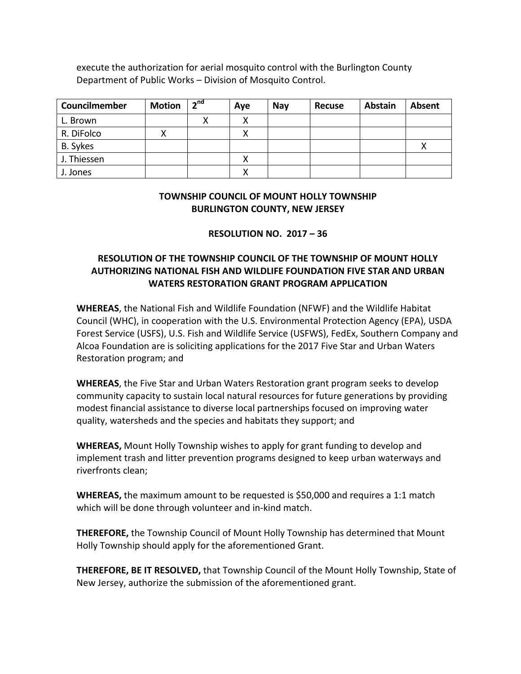execute the authorization for aerial mosquito control with the Burlington County Department of Public Works – Division of Mosquito Control.

| Councilmember | <b>Motion</b> | 2 <sup>nd</sup> | Aye | <b>Nav</b> | <b>Recuse</b> | <b>Abstain</b> | <b>Absent</b> |
|---------------|---------------|-----------------|-----|------------|---------------|----------------|---------------|
| L. Brown      |               | χ               | x   |            |               |                |               |
| R. DiFolco    | х             |                 | х   |            |               |                |               |
| B. Sykes      |               |                 |     |            |               |                | л             |
| J. Thiessen   |               |                 | х   |            |               |                |               |
| J. Jones      |               |                 | v   |            |               |                |               |

## **TOWNSHIP COUNCIL OF MOUNT HOLLY TOWNSHIP BURLINGTON COUNTY, NEW JERSEY**

# **RESOLUTION NO. 2017 – 36**

# **RESOLUTION OF THE TOWNSHIP COUNCIL OF THE TOWNSHIP OF MOUNT HOLLY AUTHORIZING NATIONAL FISH AND WILDLIFE FOUNDATION FIVE STAR AND URBAN WATERS RESTORATION GRANT PROGRAM APPLICATION**

**WHEREAS**, the National Fish and Wildlife Foundation (NFWF) and the Wildlife Habitat Council (WHC), in cooperation with the U.S. Environmental Protection Agency (EPA), USDA Forest Service (USFS), U.S. Fish and Wildlife Service (USFWS), FedEx, Southern Company and Alcoa Foundation are is soliciting applications for the 2017 Five Star and Urban Waters Restoration program; and

**WHEREAS**, the Five Star and Urban Waters Restoration grant program seeks to develop community capacity to sustain local natural resources for future generations by providing modest financial assistance to diverse local partnerships focused on improving water quality, watersheds and the species and habitats they support; and

**WHEREAS,** Mount Holly Township wishes to apply for grant funding to develop and implement trash and litter prevention programs designed to keep urban waterways and riverfronts clean;

**WHEREAS,** the maximum amount to be requested is \$50,000 and requires a 1:1 match which will be done through volunteer and in-kind match.

**THEREFORE,** the Township Council of Mount Holly Township has determined that Mount Holly Township should apply for the aforementioned Grant.

**THEREFORE, BE IT RESOLVED,** that Township Council of the Mount Holly Township, State of New Jersey, authorize the submission of the aforementioned grant.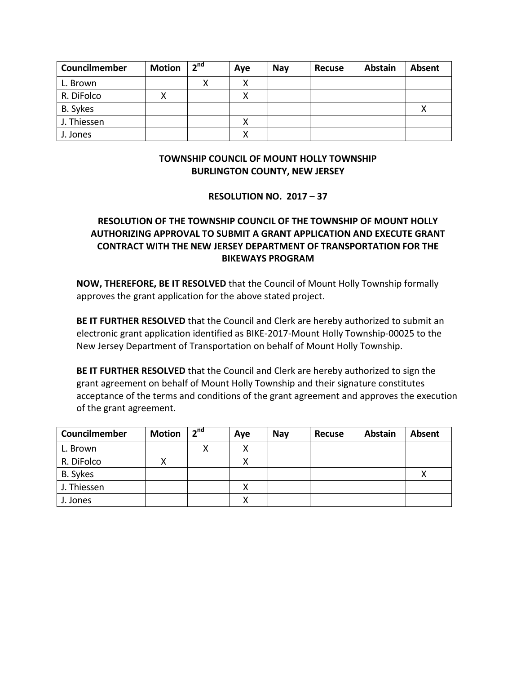| Councilmember | <b>Motion</b> | 2 <sup>nd</sup> | Aye | <b>Nay</b> | <b>Recuse</b> | <b>Abstain</b> | <b>Absent</b> |
|---------------|---------------|-----------------|-----|------------|---------------|----------------|---------------|
| L. Brown      |               |                 |     |            |               |                |               |
| R. DiFolco    | ⋏             |                 |     |            |               |                |               |
| B. Sykes      |               |                 |     |            |               |                |               |
| J. Thiessen   |               |                 |     |            |               |                |               |
| J. Jones      |               |                 |     |            |               |                |               |

## **TOWNSHIP COUNCIL OF MOUNT HOLLY TOWNSHIP BURLINGTON COUNTY, NEW JERSEY**

## **RESOLUTION NO. 2017 – 37**

# **RESOLUTION OF THE TOWNSHIP COUNCIL OF THE TOWNSHIP OF MOUNT HOLLY AUTHORIZING APPROVAL TO SUBMIT A GRANT APPLICATION AND EXECUTE GRANT CONTRACT WITH THE NEW JERSEY DEPARTMENT OF TRANSPORTATION FOR THE BIKEWAYS PROGRAM**

**NOW, THEREFORE, BE IT RESOLVED** that the Council of Mount Holly Township formally approves the grant application for the above stated project.

**BE IT FURTHER RESOLVED** that the Council and Clerk are hereby authorized to submit an electronic grant application identified as BIKE-2017-Mount Holly Township-00025 to the New Jersey Department of Transportation on behalf of Mount Holly Township.

**BE IT FURTHER RESOLVED** that the Council and Clerk are hereby authorized to sign the grant agreement on behalf of Mount Holly Township and their signature constitutes acceptance of the terms and conditions of the grant agreement and approves the execution of the grant agreement.

| Councilmember | <b>Motion</b> | 2 <sup>nd</sup> | Aye | <b>Nay</b> | Recuse | <b>Abstain</b> | Absent |
|---------------|---------------|-----------------|-----|------------|--------|----------------|--------|
| L. Brown      |               |                 |     |            |        |                |        |
| R. DiFolco    | Λ             |                 |     |            |        |                |        |
| B. Sykes      |               |                 |     |            |        |                |        |
| J. Thiessen   |               |                 | x   |            |        |                |        |
| J. Jones      |               |                 |     |            |        |                |        |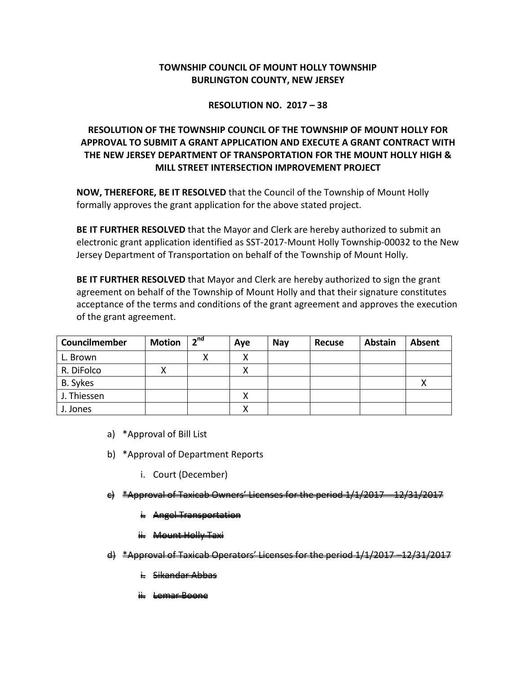# **TOWNSHIP COUNCIL OF MOUNT HOLLY TOWNSHIP BURLINGTON COUNTY, NEW JERSEY**

## **RESOLUTION NO. 2017 – 38**

# **RESOLUTION OF THE TOWNSHIP COUNCIL OF THE TOWNSHIP OF MOUNT HOLLY FOR APPROVAL TO SUBMIT A GRANT APPLICATION AND EXECUTE A GRANT CONTRACT WITH THE NEW JERSEY DEPARTMENT OF TRANSPORTATION FOR THE MOUNT HOLLY HIGH & MILL STREET INTERSECTION IMPROVEMENT PROJECT**

**NOW, THEREFORE, BE IT RESOLVED** that the Council of the Township of Mount Holly formally approves the grant application for the above stated project.

**BE IT FURTHER RESOLVED** that the Mayor and Clerk are hereby authorized to submit an electronic grant application identified as SST-2017-Mount Holly Township-00032 to the New Jersey Department of Transportation on behalf of the Township of Mount Holly.

**BE IT FURTHER RESOLVED** that Mayor and Clerk are hereby authorized to sign the grant agreement on behalf of the Township of Mount Holly and that their signature constitutes acceptance of the terms and conditions of the grant agreement and approves the execution of the grant agreement.

| Councilmember | <b>Motion</b> | 2 <sup>nd</sup> | Aye | <b>Nay</b> | Recuse | <b>Abstain</b> | Absent |
|---------------|---------------|-----------------|-----|------------|--------|----------------|--------|
| L. Brown      |               |                 |     |            |        |                |        |
| R. DiFolco    | х             |                 |     |            |        |                |        |
| B. Sykes      |               |                 |     |            |        |                |        |
| J. Thiessen   |               |                 |     |            |        |                |        |
| J. Jones      |               |                 |     |            |        |                |        |

- a) \*Approval of Bill List
- b) \*Approval of Department Reports
	- i. Court (December)
- Chwners' Licenses for the
	- i. Angel Transportation
	- ii. Mount Holly Taxi
- $\mathbf{d}$ )  $\mathbf{d}$  \*Approval of Taxicab Operators' Licenses for the period
	- <del>Sikandar Abbas</del>
	- emar Boon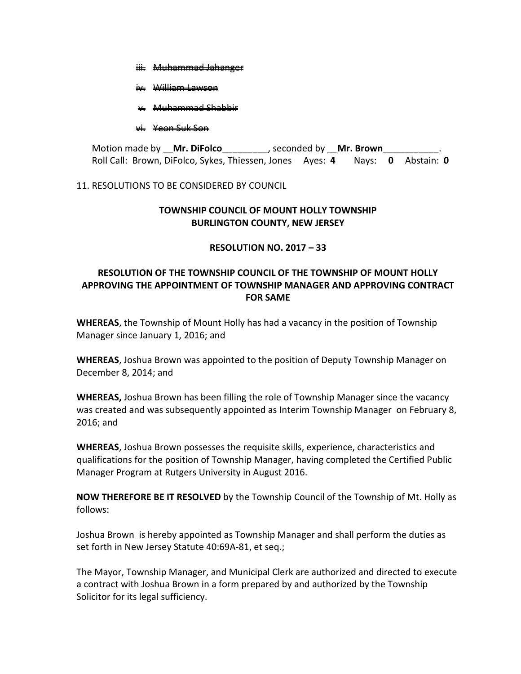- iii. Muhammad Jahanger
- William Lawson
- v. Muhammad Shabbir

## vi. Yeon Suk Son

Motion made by \_\_**Mr. DiFolco**\_\_\_\_\_\_\_\_\_, seconded by \_\_**Mr. Brown**\_\_\_\_\_\_\_\_\_\_\_. Roll Call: Brown, DiFolco, Sykes, Thiessen, Jones Ayes: **4** Nays: **0** Abstain: **0**

## 11. RESOLUTIONS TO BE CONSIDERED BY COUNCIL

## **TOWNSHIP COUNCIL OF MOUNT HOLLY TOWNSHIP BURLINGTON COUNTY, NEW JERSEY**

## **RESOLUTION NO. 2017 – 33**

# **RESOLUTION OF THE TOWNSHIP COUNCIL OF THE TOWNSHIP OF MOUNT HOLLY APPROVING THE APPOINTMENT OF TOWNSHIP MANAGER AND APPROVING CONTRACT FOR SAME**

**WHEREAS**, the Township of Mount Holly has had a vacancy in the position of Township Manager since January 1, 2016; and

**WHEREAS**, Joshua Brown was appointed to the position of Deputy Township Manager on December 8, 2014; and

**WHEREAS,** Joshua Brown has been filling the role of Township Manager since the vacancy was created and was subsequently appointed as Interim Township Manager on February 8, 2016; and

**WHEREAS**, Joshua Brown possesses the requisite skills, experience, characteristics and qualifications for the position of Township Manager, having completed the Certified Public Manager Program at Rutgers University in August 2016.

**NOW THEREFORE BE IT RESOLVED** by the Township Council of the Township of Mt. Holly as follows:

Joshua Brown is hereby appointed as Township Manager and shall perform the duties as set forth in New Jersey Statute 40:69A-81, et seq.;

The Mayor, Township Manager, and Municipal Clerk are authorized and directed to execute a contract with Joshua Brown in a form prepared by and authorized by the Township Solicitor for its legal sufficiency.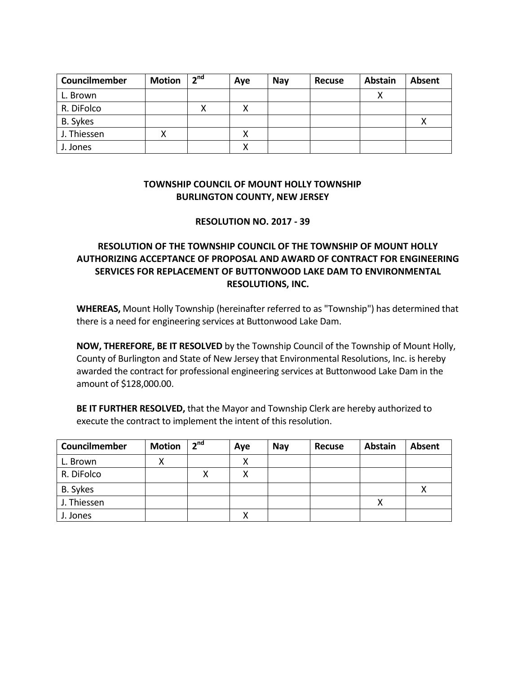| Councilmember | <b>Motion</b> | 2 <sup>nd</sup> | Aye | <b>Nay</b> | <b>Recuse</b> | <b>Abstain</b> | <b>Absent</b> |
|---------------|---------------|-----------------|-----|------------|---------------|----------------|---------------|
| L. Brown      |               |                 |     |            |               |                |               |
| R. DiFolco    |               |                 |     |            |               |                |               |
| B. Sykes      |               |                 |     |            |               |                |               |
| J. Thiessen   |               |                 |     |            |               |                |               |
| J. Jones      |               |                 |     |            |               |                |               |

# **TOWNSHIP COUNCIL OF MOUNT HOLLY TOWNSHIP BURLINGTON COUNTY, NEW JERSEY**

## **RESOLUTION NO. 2017 - 39**

# **RESOLUTION OF THE TOWNSHIP COUNCIL OF THE TOWNSHIP OF MOUNT HOLLY AUTHORIZING ACCEPTANCE OF PROPOSAL AND AWARD OF CONTRACT FOR ENGINEERING SERVICES FOR REPLACEMENT OF BUTTONWOOD LAKE DAM TO ENVIRONMENTAL RESOLUTIONS, INC.**

**WHEREAS,** Mount Holly Township (hereinafter referred to as "Township") has determined that there is a need for engineering services at Buttonwood Lake Dam.

**NOW, THEREFORE, BE IT RESOLVED** by the Township Council of the Township of Mount Holly, County of Burlington and State of New Jersey that Environmental Resolutions, Inc. is hereby awarded the contract for professional engineering services at Buttonwood Lake Dam in the amount of \$128,000.00.

**BE IT FURTHER RESOLVED,** that the Mayor and Township Clerk are hereby authorized to execute the contract to implement the intent of this resolution.

| Councilmember | <b>Motion</b> | 2 <sup>nd</sup> | Aye | <b>Nay</b> | <b>Recuse</b> | <b>Abstain</b> | Absent |
|---------------|---------------|-----------------|-----|------------|---------------|----------------|--------|
| L. Brown      | ⌒             |                 | X   |            |               |                |        |
| R. DiFolco    |               | χ               | Χ   |            |               |                |        |
| B. Sykes      |               |                 |     |            |               |                |        |
| J. Thiessen   |               |                 |     |            |               |                |        |
| J. Jones      |               |                 |     |            |               |                |        |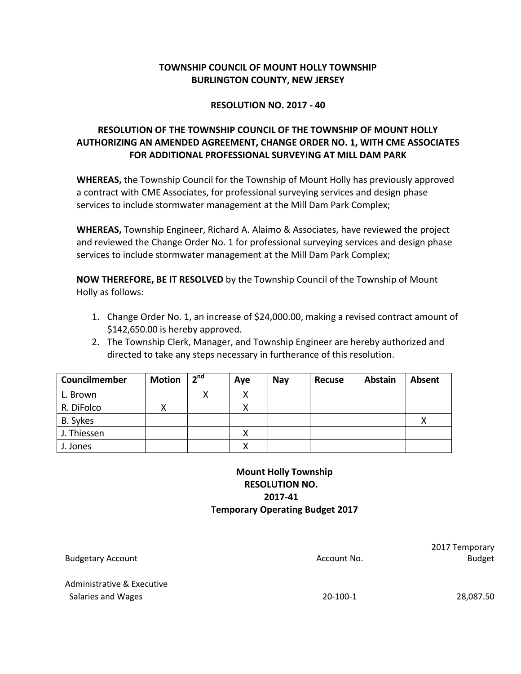# **TOWNSHIP COUNCIL OF MOUNT HOLLY TOWNSHIP BURLINGTON COUNTY, NEW JERSEY**

## **RESOLUTION NO. 2017 - 40**

# **RESOLUTION OF THE TOWNSHIP COUNCIL OF THE TOWNSHIP OF MOUNT HOLLY AUTHORIZING AN AMENDED AGREEMENT, CHANGE ORDER NO. 1, WITH CME ASSOCIATES FOR ADDITIONAL PROFESSIONAL SURVEYING AT MILL DAM PARK**

**WHEREAS,** the Township Council for the Township of Mount Holly has previously approved a contract with CME Associates, for professional surveying services and design phase services to include stormwater management at the Mill Dam Park Complex;

**WHEREAS,** Township Engineer, Richard A. Alaimo & Associates, have reviewed the project and reviewed the Change Order No. 1 for professional surveying services and design phase services to include stormwater management at the Mill Dam Park Complex;

**NOW THEREFORE, BE IT RESOLVED** by the Township Council of the Township of Mount Holly as follows:

- 1. Change Order No. 1, an increase of \$24,000.00, making a revised contract amount of \$142,650.00 is hereby approved.
- 2. The Township Clerk, Manager, and Township Engineer are hereby authorized and directed to take any steps necessary in furtherance of this resolution.

| Councilmember | <b>Motion</b> | 2 <sup>nd</sup> | Aye | <b>Nay</b> | <b>Recuse</b> | <b>Abstain</b> | Absent |
|---------------|---------------|-----------------|-----|------------|---------------|----------------|--------|
| L. Brown      |               | х               |     |            |               |                |        |
| R. DiFolco    | ∧             |                 |     |            |               |                |        |
| B. Sykes      |               |                 |     |            |               |                | ⋏      |
| J. Thiessen   |               |                 |     |            |               |                |        |
| J. Jones      |               |                 |     |            |               |                |        |

# **Mount Holly Township RESOLUTION NO. 2017-41 Temporary Operating Budget 2017**

| <b>Budgetary Account</b>                         | Account No. | 2017 Temporary<br><b>Budget</b> |
|--------------------------------------------------|-------------|---------------------------------|
| Administrative & Executive<br>Salaries and Wages | $20-100-1$  | 28,087.50                       |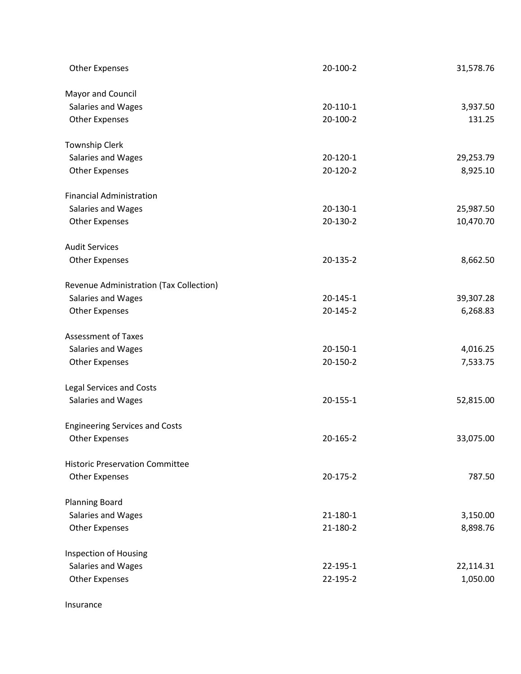| <b>Other Expenses</b>                   | 20-100-2       | 31,578.76 |
|-----------------------------------------|----------------|-----------|
| Mayor and Council                       |                |           |
| Salaries and Wages                      | $20-110-1$     | 3,937.50  |
| <b>Other Expenses</b>                   | 20-100-2       | 131.25    |
| <b>Township Clerk</b>                   |                |           |
| Salaries and Wages                      | $20-120-1$     | 29,253.79 |
| <b>Other Expenses</b>                   | 20-120-2       | 8,925.10  |
| <b>Financial Administration</b>         |                |           |
| Salaries and Wages                      | 20-130-1       | 25,987.50 |
| <b>Other Expenses</b>                   | 20-130-2       | 10,470.70 |
| <b>Audit Services</b>                   |                |           |
| <b>Other Expenses</b>                   | 20-135-2       | 8,662.50  |
| Revenue Administration (Tax Collection) |                |           |
| Salaries and Wages                      | $20 - 145 - 1$ | 39,307.28 |
| <b>Other Expenses</b>                   | 20-145-2       | 6,268.83  |
| <b>Assessment of Taxes</b>              |                |           |
| Salaries and Wages                      | 20-150-1       | 4,016.25  |
| <b>Other Expenses</b>                   | 20-150-2       | 7,533.75  |
| <b>Legal Services and Costs</b>         |                |           |
| Salaries and Wages                      | $20 - 155 - 1$ | 52,815.00 |
| <b>Engineering Services and Costs</b>   |                |           |
| <b>Other Expenses</b>                   | 20-165-2       | 33,075.00 |
| <b>Historic Preservation Committee</b>  |                |           |
| <b>Other Expenses</b>                   | 20-175-2       | 787.50    |
| <b>Planning Board</b>                   |                |           |
| Salaries and Wages                      | $21 - 180 - 1$ | 3,150.00  |
| <b>Other Expenses</b>                   | 21-180-2       | 8,898.76  |
| Inspection of Housing                   |                |           |
| Salaries and Wages                      | 22-195-1       | 22,114.31 |
| <b>Other Expenses</b>                   | 22-195-2       | 1,050.00  |
|                                         |                |           |

Insurance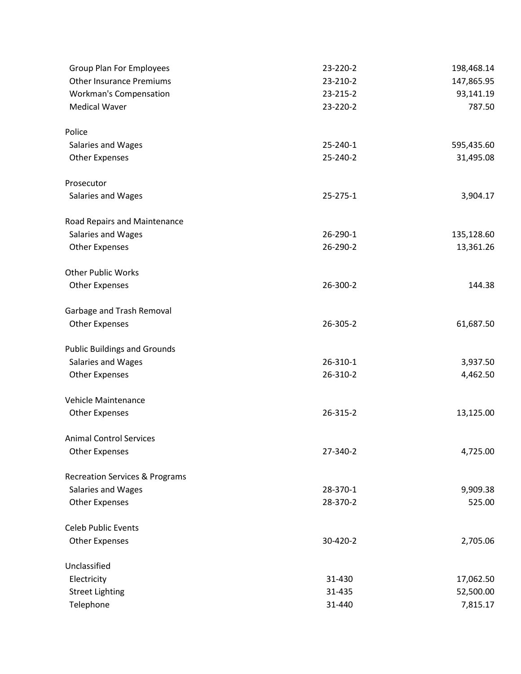| <b>Group Plan For Employees</b>           | 23-220-2       | 198,468.14 |
|-------------------------------------------|----------------|------------|
| <b>Other Insurance Premiums</b>           | 23-210-2       | 147,865.95 |
| Workman's Compensation                    | 23-215-2       | 93,141.19  |
| <b>Medical Waver</b>                      | 23-220-2       | 787.50     |
| Police                                    |                |            |
| Salaries and Wages                        | 25-240-1       | 595,435.60 |
| <b>Other Expenses</b>                     | 25-240-2       | 31,495.08  |
| Prosecutor                                |                |            |
| Salaries and Wages                        | $25 - 275 - 1$ | 3,904.17   |
| Road Repairs and Maintenance              |                |            |
| Salaries and Wages                        | 26-290-1       | 135,128.60 |
| <b>Other Expenses</b>                     | 26-290-2       | 13,361.26  |
| <b>Other Public Works</b>                 |                |            |
| <b>Other Expenses</b>                     | 26-300-2       | 144.38     |
| Garbage and Trash Removal                 |                |            |
| <b>Other Expenses</b>                     | 26-305-2       | 61,687.50  |
| <b>Public Buildings and Grounds</b>       |                |            |
| Salaries and Wages                        | 26-310-1       | 3,937.50   |
| <b>Other Expenses</b>                     | 26-310-2       | 4,462.50   |
| Vehicle Maintenance                       |                |            |
| <b>Other Expenses</b>                     | 26-315-2       | 13,125.00  |
| <b>Animal Control Services</b>            |                |            |
| <b>Other Expenses</b>                     | 27-340-2       | 4,725.00   |
| <b>Recreation Services &amp; Programs</b> |                |            |
| Salaries and Wages                        | 28-370-1       | 9,909.38   |
| <b>Other Expenses</b>                     | 28-370-2       | 525.00     |
| <b>Celeb Public Events</b>                |                |            |
| <b>Other Expenses</b>                     | 30-420-2       | 2,705.06   |
| Unclassified                              |                |            |
| Electricity                               | 31-430         | 17,062.50  |
| <b>Street Lighting</b>                    | 31-435         | 52,500.00  |
| Telephone                                 | 31-440         | 7,815.17   |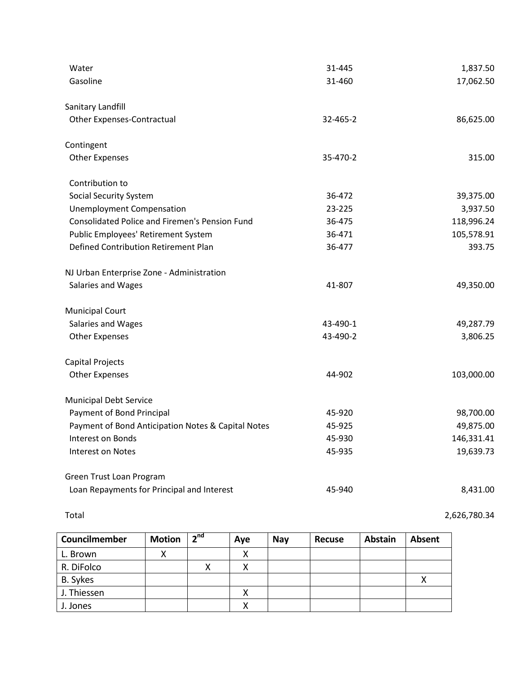| Water                                                 | 31-445   | 1,837.50   |
|-------------------------------------------------------|----------|------------|
| Gasoline                                              | 31-460   | 17,062.50  |
|                                                       |          |            |
| Sanitary Landfill                                     |          |            |
| <b>Other Expenses-Contractual</b>                     | 32-465-2 | 86,625.00  |
| Contingent                                            |          |            |
| <b>Other Expenses</b>                                 | 35-470-2 | 315.00     |
| Contribution to                                       |          |            |
| <b>Social Security System</b>                         | 36-472   | 39,375.00  |
| <b>Unemployment Compensation</b>                      | 23-225   | 3,937.50   |
| <b>Consolidated Police and Firemen's Pension Fund</b> | 36-475   | 118,996.24 |
| Public Employees' Retirement System                   | 36-471   | 105,578.91 |
| Defined Contribution Retirement Plan                  | 36-477   | 393.75     |
| NJ Urban Enterprise Zone - Administration             |          |            |
| Salaries and Wages                                    | 41-807   | 49,350.00  |
| <b>Municipal Court</b>                                |          |            |
| Salaries and Wages                                    | 43-490-1 | 49,287.79  |
| <b>Other Expenses</b>                                 | 43-490-2 | 3,806.25   |
| Capital Projects                                      |          |            |
| <b>Other Expenses</b>                                 | 44-902   | 103,000.00 |
| <b>Municipal Debt Service</b>                         |          |            |
| Payment of Bond Principal                             | 45-920   | 98,700.00  |
| Payment of Bond Anticipation Notes & Capital Notes    | 45-925   | 49,875.00  |
| Interest on Bonds                                     | 45-930   | 146,331.41 |
| Interest on Notes                                     | 45-935   | 19,639.73  |
| Green Trust Loan Program                              |          |            |
| Loan Repayments for Principal and Interest            | 45-940   | 8,431.00   |

| Councilmember | <b>Motion</b> | 2 <sup>nd</sup> | Aye | <b>Nav</b> | <b>Recuse</b> | <b>Abstain</b> | <b>Absent</b> |
|---------------|---------------|-----------------|-----|------------|---------------|----------------|---------------|
| L. Brown      |               |                 | x   |            |               |                |               |
| R. DiFolco    |               | ν<br>Λ          | x   |            |               |                |               |
| B. Sykes      |               |                 |     |            |               |                |               |
| J. Thiessen   |               |                 | х   |            |               |                |               |
| J. Jones      |               |                 |     |            |               |                |               |

Total 2,626,780.34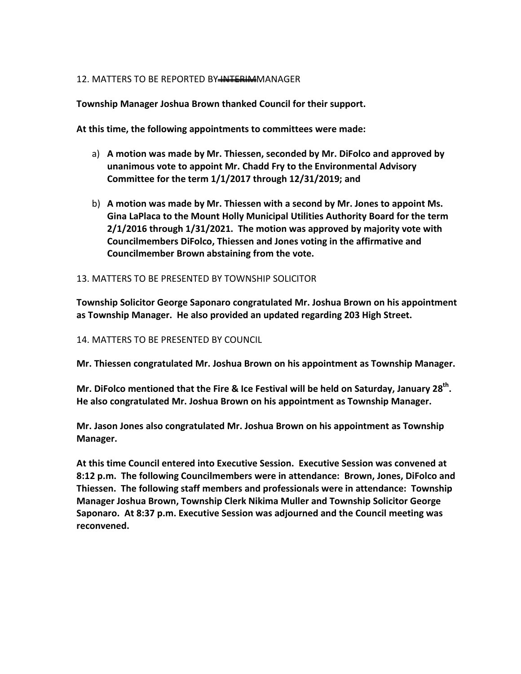## 12. MATTERS TO BE REPORTED BY INTERIMMANAGER

**Township Manager Joshua Brown thanked Council for their support.** 

**At this time, the following appointments to committees were made:**

- a) **A motion was made by Mr. Thiessen, seconded by Mr. DiFolco and approved by unanimous vote to appoint Mr. Chadd Fry to the Environmental Advisory Committee for the term 1/1/2017 through 12/31/2019; and**
- b) **A motion was made by Mr. Thiessen with a second by Mr. Jones to appoint Ms. Gina LaPlaca to the Mount Holly Municipal Utilities Authority Board for the term 2/1/2016 through 1/31/2021. The motion was approved by majority vote with Councilmembers DiFolco, Thiessen and Jones voting in the affirmative and Councilmember Brown abstaining from the vote.**

## 13. MATTERS TO BE PRESENTED BY TOWNSHIP SOLICITOR

**Township Solicitor George Saponaro congratulated Mr. Joshua Brown on his appointment as Township Manager. He also provided an updated regarding 203 High Street.**

14. MATTERS TO BE PRESENTED BY COUNCIL

**Mr. Thiessen congratulated Mr. Joshua Brown on his appointment as Township Manager.**

Mr. DiFolco mentioned that the Fire & Ice Festival will be held on Saturday, January 28<sup>th</sup>. **He also congratulated Mr. Joshua Brown on his appointment as Township Manager.**

**Mr. Jason Jones also congratulated Mr. Joshua Brown on his appointment as Township Manager.**

**At this time Council entered into Executive Session. Executive Session was convened at 8:12 p.m. The following Councilmembers were in attendance: Brown, Jones, DiFolco and Thiessen. The following staff members and professionals were in attendance: Township Manager Joshua Brown, Township Clerk Nikima Muller and Township Solicitor George Saponaro. At 8:37 p.m. Executive Session was adjourned and the Council meeting was reconvened.**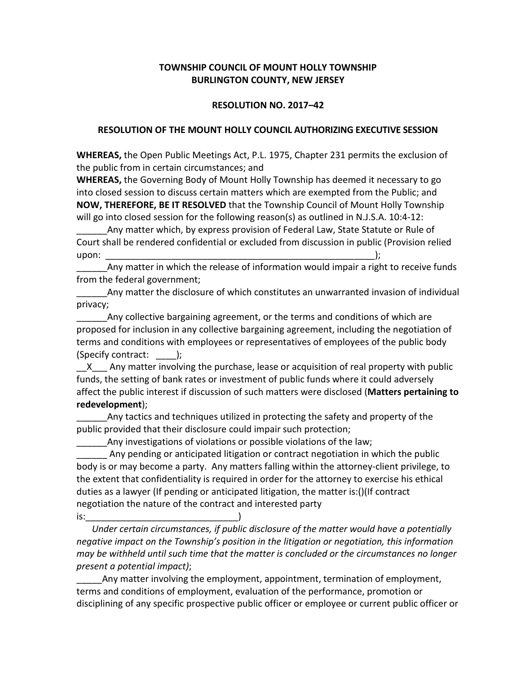## **TOWNSHIP COUNCIL OF MOUNT HOLLY TOWNSHIP BURLINGTON COUNTY, NEW JERSEY**

## **RESOLUTION NO. 2017–42**

## **RESOLUTION OF THE MOUNT HOLLY COUNCIL AUTHORIZING EXECUTIVE SESSION**

**WHEREAS,** the Open Public Meetings Act, P.L. 1975, Chapter 231 permits the exclusion of the public from in certain circumstances; and

**WHEREAS,** the Governing Body of Mount Holly Township has deemed it necessary to go into closed session to discuss certain matters which are exempted from the Public; and **NOW, THEREFORE, BE IT RESOLVED** that the Township Council of Mount Holly Township will go into closed session for the following reason(s) as outlined in N.J.S.A. 10:4-12:

Any matter which, by express provision of Federal Law, State Statute or Rule of Court shall be rendered confidential or excluded from discussion in public (Provision relied upon: \_\_\_\_\_\_\_\_\_\_\_\_\_\_\_\_\_\_\_\_\_\_\_\_\_\_\_\_\_\_\_\_\_\_\_\_\_\_\_\_\_\_\_\_\_\_\_\_\_\_\_\_\_);

Any matter in which the release of information would impair a right to receive funds from the federal government;

Any matter the disclosure of which constitutes an unwarranted invasion of individual privacy;

Any collective bargaining agreement, or the terms and conditions of which are proposed for inclusion in any collective bargaining agreement, including the negotiation of terms and conditions with employees or representatives of employees of the public body (Specify contract: \_\_\_\_);

X Any matter involving the purchase, lease or acquisition of real property with public funds, the setting of bank rates or investment of public funds where it could adversely affect the public interest if discussion of such matters were disclosed (**Matters pertaining to redevelopment**);

Any tactics and techniques utilized in protecting the safety and property of the public provided that their disclosure could impair such protection;

Any investigations of violations or possible violations of the law;

Any pending or anticipated litigation or contract negotiation in which the public body is or may become a party. Any matters falling within the attorney-client privilege, to the extent that confidentiality is required in order for the attorney to exercise his ethical duties as a lawyer (If pending or anticipated litigation, the matter is:()(If contract negotiation the nature of the contract and interested party is:\_\_\_\_\_\_\_\_\_\_\_\_\_\_\_\_\_\_\_\_\_\_\_\_\_\_\_\_\_\_)

*Under certain circumstances, if public disclosure of the matter would have a potentially negative impact on the Township's position in the litigation or negotiation, this information may be withheld until such time that the matter is concluded or the circumstances no longer present a potential impact)*;

Any matter involving the employment, appointment, termination of employment, terms and conditions of employment, evaluation of the performance, promotion or disciplining of any specific prospective public officer or employee or current public officer or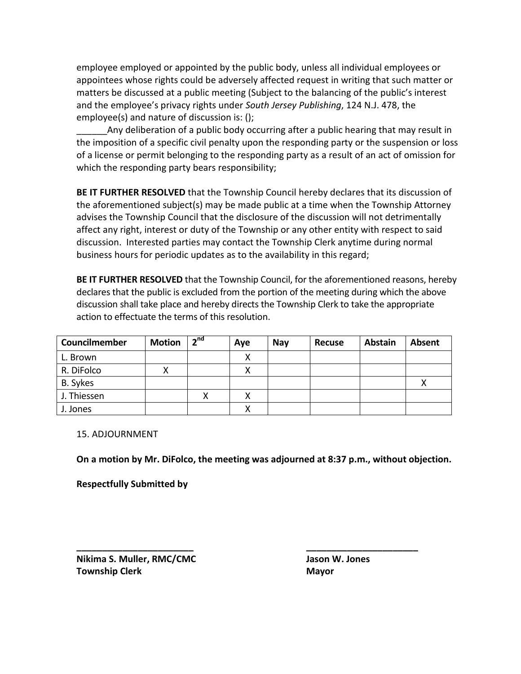employee employed or appointed by the public body, unless all individual employees or appointees whose rights could be adversely affected request in writing that such matter or matters be discussed at a public meeting (Subject to the balancing of the public's interest and the employee's privacy rights under *South Jersey Publishing*, 124 N.J. 478, the employee(s) and nature of discussion is: ();

Any deliberation of a public body occurring after a public hearing that may result in the imposition of a specific civil penalty upon the responding party or the suspension or loss of a license or permit belonging to the responding party as a result of an act of omission for which the responding party bears responsibility;

**BE IT FURTHER RESOLVED** that the Township Council hereby declares that its discussion of the aforementioned subject(s) may be made public at a time when the Township Attorney advises the Township Council that the disclosure of the discussion will not detrimentally affect any right, interest or duty of the Township or any other entity with respect to said discussion. Interested parties may contact the Township Clerk anytime during normal business hours for periodic updates as to the availability in this regard;

**BE IT FURTHER RESOLVED** that the Township Council, for the aforementioned reasons, hereby declares that the public is excluded from the portion of the meeting during which the above discussion shall take place and hereby directs the Township Clerk to take the appropriate action to effectuate the terms of this resolution.

| Councilmember   | <b>Motion</b> | 2 <sup>nd</sup> | Aye | <b>Nay</b> | <b>Recuse</b> | <b>Abstain</b> | <b>Absent</b> |
|-----------------|---------------|-----------------|-----|------------|---------------|----------------|---------------|
| L. Brown        |               |                 | x   |            |               |                |               |
| R. DiFolco      |               |                 | х   |            |               |                |               |
| <b>B.</b> Sykes |               |                 |     |            |               |                |               |
| J. Thiessen     |               |                 | х   |            |               |                |               |
| J. Jones        |               |                 | χ   |            |               |                |               |

15. ADJOURNMENT

**On a motion by Mr. DiFolco, the meeting was adjourned at 8:37 p.m., without objection.**

**\_\_\_\_\_\_\_\_\_\_\_\_\_\_\_\_\_\_\_\_\_\_\_ \_\_\_\_\_\_\_\_\_\_\_\_\_\_\_\_\_\_\_\_\_\_**

**Respectfully Submitted by**

**Nikima S. Muller, RMC/CMC Jason W. Jones Township Clerk Mayor Mayor**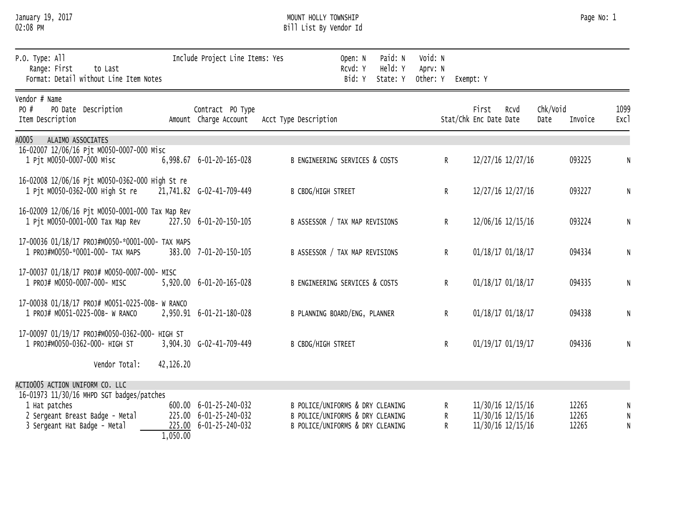| January 19, 2017 |  |
|------------------|--|
| 02:08 PM         |  |

## January 19, 2017 MOUNT HOLLY TOWNSHIP Page No: 1 02:08 PM Bill List By Vendor Id

| P.O. Type: All<br>Range: First<br>to Last<br>Format: Detail without Line Item Notes                                           |           | Include Project Line Items: Yes                                            |                                                                                                          | Open: N<br>RCVd: Y<br>Bid: Y | Paid: N<br>Held: Y<br>State: Y | Void: N<br>Aprv: N<br>Other: Y | Exempt: Y                       |                                                             |                             |                     |
|-------------------------------------------------------------------------------------------------------------------------------|-----------|----------------------------------------------------------------------------|----------------------------------------------------------------------------------------------------------|------------------------------|--------------------------------|--------------------------------|---------------------------------|-------------------------------------------------------------|-----------------------------|---------------------|
| Vendor # Name<br>PO #<br>PO Date Description<br>Item Description                                                              |           | Contract PO Type<br>Amount Charge Account                                  | Acct Type Description                                                                                    |                              |                                |                                | First<br>Stat/Chk Enc Date Date | Rcvd                                                        | Chk/Void<br>Invoice<br>Date | 1099<br>Exc1        |
| A0005<br>ALAIMO ASSOCIATES                                                                                                    |           |                                                                            |                                                                                                          |                              |                                |                                |                                 |                                                             |                             |                     |
| 16-02007 12/06/16 Pjt M0050-0007-000 Misc<br>1 Pjt M0050-0007-000 Misc                                                        |           | 6,998.67 6-01-20-165-028                                                   | B ENGINEERING SERVICES & COSTS                                                                           |                              |                                | $\mathsf{R}$                   |                                 | 12/27/16 12/27/16                                           | 093225                      | ${\sf N}$           |
| 16-02008 12/06/16 Pjt M0050-0362-000 High St re<br>1 Pit M0050-0362-000 High St re                                            |           | 21,741.82 G-02-41-709-449                                                  | <b>B CBDG/HIGH STREET</b>                                                                                |                              |                                | R                              |                                 | 12/27/16 12/27/16                                           | 093227                      | ${\sf N}$           |
| 16-02009 12/06/16 Pjt M0050-0001-000 Tax Map Rev<br>1 Pjt M0050-0001-000 Tax Map Rev                                          |           | 227.50 6-01-20-150-105                                                     | B ASSESSOR / TAX MAP REVISIONS                                                                           |                              |                                | R                              |                                 | 12/06/16 12/15/16                                           | 093224                      | ${\sf N}$           |
| 17-00036 01/18/17 PROJ#M0050-*0001-000- TAX MAPS<br>1 PROJ#M0050-*0001-000- TAX MAPS                                          |           | 383.00 7-01-20-150-105                                                     | B ASSESSOR / TAX MAP REVISIONS                                                                           |                              |                                | R                              |                                 | 01/18/17 01/18/17                                           | 094334                      | ${\sf N}$           |
| 17-00037 01/18/17 PROJ# M0050-0007-000- MISC<br>1 PROJ# M0050-0007-000- MISC                                                  |           | 5,920.00 6-01-20-165-028                                                   | B ENGINEERING SERVICES & COSTS                                                                           |                              |                                | R                              |                                 | 01/18/17 01/18/17                                           | 094335                      | ${\sf N}$           |
| 17-00038 01/18/17 PROJ# M0051-0225-00B- W RANCO<br>1 PROJ# M0051-0225-00B- W RANCO                                            |           | 2,950.91 6-01-21-180-028                                                   | B PLANNING BOARD/ENG, PLANNER                                                                            |                              |                                | R                              |                                 | 01/18/17 01/18/17                                           | 094338                      | ${\sf N}$           |
| 17-00097 01/19/17 PROJ#M0050-0362-000- HIGH ST<br>1 PROJ#M0050-0362-000- HIGH ST                                              |           | 3,904.30 G-02-41-709-449                                                   | <b>B CBDG/HIGH STREET</b>                                                                                |                              |                                | R                              |                                 | 01/19/17 01/19/17                                           | 094336                      | ${\sf N}$           |
| Vendor Total:                                                                                                                 | 42,126.20 |                                                                            |                                                                                                          |                              |                                |                                |                                 |                                                             |                             |                     |
| ACTIO005 ACTION UNIFORM CO. LLC                                                                                               |           |                                                                            |                                                                                                          |                              |                                |                                |                                 |                                                             |                             |                     |
| 16-01973 11/30/16 MHPD SGT badges/patches<br>1 Hat patches<br>2 Sergeant Breast Badge - Metal<br>3 Sergeant Hat Badge - Metal |           | 600.00 6-01-25-240-032<br>225.00 6-01-25-240-032<br>225.00 6-01-25-240-032 | B POLICE/UNIFORMS & DRY CLEANING<br>B POLICE/UNIFORMS & DRY CLEANING<br>B POLICE/UNIFORMS & DRY CLEANING |                              |                                | R<br>R<br>R                    |                                 | 11/30/16 12/15/16<br>11/30/16 12/15/16<br>11/30/16 12/15/16 | 12265<br>12265<br>12265     | N<br>N<br>${\sf N}$ |

1,050.00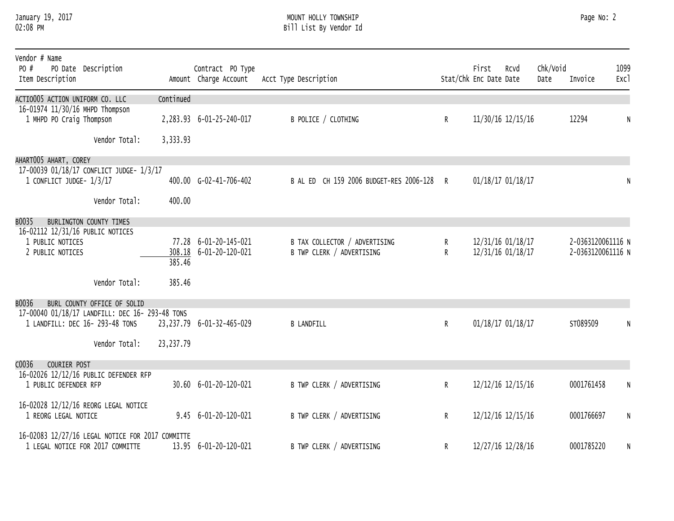#### January 19, 2017 MOUNT HOLLY TOWNSHIP Page No: 2 02:08 PM Bill List By Vendor Id

| Vendor # Name<br>PO #<br>PO Date Description<br>Item Description                     |             | Contract PO Type<br>Amount Charge Account | Acct Type Description                   |              | First<br>Stat/Chk Enc Date Date | Rcvd              | Chk/Void<br>Date | Invoice           | 1099<br>Exc1 |
|--------------------------------------------------------------------------------------|-------------|-------------------------------------------|-----------------------------------------|--------------|---------------------------------|-------------------|------------------|-------------------|--------------|
| ACTIO005 ACTION UNIFORM CO. LLC                                                      | Continued   |                                           |                                         |              |                                 |                   |                  |                   |              |
| 16-01974 11/30/16 MHPD Thompson<br>1 MHPD PO Craig Thompson                          |             | 2,283.93 6-01-25-240-017                  | B POLICE / CLOTHING                     | $\mathsf{R}$ |                                 | 11/30/16 12/15/16 |                  | 12294             | N            |
| Vendor Total:                                                                        | 3,333.93    |                                           |                                         |              |                                 |                   |                  |                   |              |
| AHARTOO5 AHART, COREY                                                                |             |                                           |                                         |              |                                 |                   |                  |                   |              |
| 17-00039 01/18/17 CONFLICT JUDGE- 1/3/17<br>1 CONFLICT JUDGE- 1/3/17                 |             | 400.00 G-02-41-706-402                    | B AL ED CH 159 2006 BUDGET-RES 2006-128 | R            |                                 | 01/18/17 01/18/17 |                  |                   | N            |
|                                                                                      |             |                                           |                                         |              |                                 |                   |                  |                   |              |
| Vendor Total:                                                                        | 400.00      |                                           |                                         |              |                                 |                   |                  |                   |              |
| B0035<br>BURLINGTON COUNTY TIMES                                                     |             |                                           |                                         |              |                                 |                   |                  |                   |              |
| 16-02112 12/31/16 PUBLIC NOTICES<br>1 PUBLIC NOTICES                                 |             | 77.28 6-01-20-145-021                     | B TAX COLLECTOR / ADVERTISING           | R            |                                 | 12/31/16 01/18/17 |                  | 2-0363120061116 N |              |
| 2 PUBLIC NOTICES                                                                     |             | 308.18 6-01-20-120-021                    | B TWP CLERK / ADVERTISING               | R            |                                 | 12/31/16 01/18/17 |                  | 2-0363120061116 N |              |
|                                                                                      | 385.46      |                                           |                                         |              |                                 |                   |                  |                   |              |
| Vendor Total:                                                                        | 385.46      |                                           |                                         |              |                                 |                   |                  |                   |              |
| B0036<br>BURL COUNTY OFFICE OF SOLID                                                 |             |                                           |                                         |              |                                 |                   |                  |                   |              |
| 17-00040 01/18/17 LANDFILL: DEC 16- 293-48 TONS<br>1 LANDFILL: DEC 16- 293-48 TONS   |             | 23, 237.79 6-01-32-465-029                | <b>B LANDFILL</b>                       | $\mathsf{R}$ |                                 | 01/18/17 01/18/17 |                  | ST089509          | N            |
|                                                                                      |             |                                           |                                         |              |                                 |                   |                  |                   |              |
| Vendor Total:                                                                        | 23, 237. 79 |                                           |                                         |              |                                 |                   |                  |                   |              |
| C0036<br>COURIER POST                                                                |             |                                           |                                         |              |                                 |                   |                  |                   |              |
| 16-02026 12/12/16 PUBLIC DEFENDER RFP<br>1 PUBLIC DEFENDER RFP                       |             | 30.60 6-01-20-120-021                     | B TWP CLERK / ADVERTISING               | $\mathsf{R}$ |                                 | 12/12/16 12/15/16 |                  | 0001761458        | N            |
|                                                                                      |             |                                           |                                         |              |                                 |                   |                  |                   |              |
| 16-02028 12/12/16 REORG LEGAL NOTICE<br>1 REORG LEGAL NOTICE                         |             | $9.45$ 6-01-20-120-021                    | B TWP CLERK / ADVERTISING               | R            |                                 | 12/12/16 12/15/16 |                  | 0001766697        | N            |
|                                                                                      |             |                                           |                                         |              |                                 |                   |                  |                   |              |
| 16-02083 12/27/16 LEGAL NOTICE FOR 2017 COMMITTE<br>1 LEGAL NOTICE FOR 2017 COMMITTE |             | 13.95 6-01-20-120-021                     | B TWP CLERK / ADVERTISING               | R            |                                 | 12/27/16 12/28/16 |                  | 0001785220        | N            |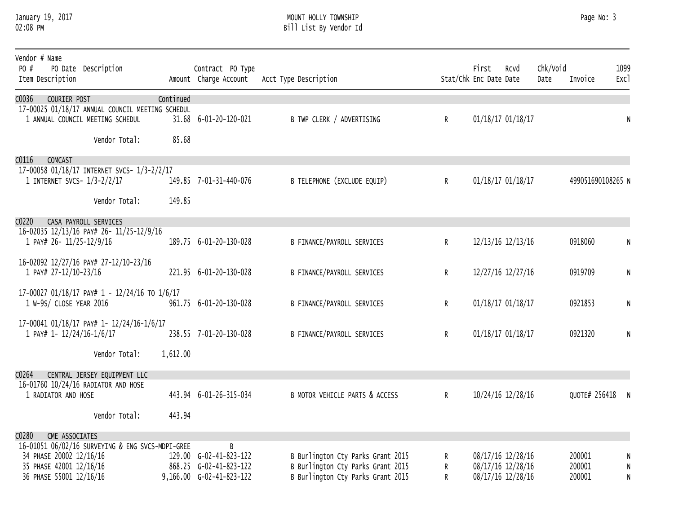#### January 19, 2017 MOUNT HOLLY TOWNSHIP Page No: 3 02:08 PM Bill List By Vendor Id

| Vendor # Name<br>PO #<br>PO Date Description<br>Item Description                                              |           | Contract PO Type                                   | Amount Charge Account Acct Type Description                            |              | First<br>Stat/Chk Enc Date Date | Rcvd                                   | Chk/Void<br>Date | Invoice           | 1099<br>Exc1 |
|---------------------------------------------------------------------------------------------------------------|-----------|----------------------------------------------------|------------------------------------------------------------------------|--------------|---------------------------------|----------------------------------------|------------------|-------------------|--------------|
| COURIER POST<br>C0036<br>17-00025 01/18/17 ANNUAL COUNCIL MEETING SCHEDUL<br>1 ANNUAL COUNCIL MEETING SCHEDUL | Continued | 31.68 6-01-20-120-021                              | B TWP CLERK / ADVERTISING                                              | $\mathsf{R}$ |                                 | 01/18/17 01/18/17                      |                  |                   | N            |
| Vendor Total:                                                                                                 | 85.68     |                                                    |                                                                        |              |                                 |                                        |                  |                   |              |
| C0116<br><b>COMCAST</b>                                                                                       |           |                                                    |                                                                        |              |                                 |                                        |                  |                   |              |
| 17-00058 01/18/17 INTERNET SVCS- 1/3-2/2/17<br>1 INTERNET SVCS- 1/3-2/2/17                                    |           | 149.85 7-01-31-440-076                             | B TELEPHONE (EXCLUDE EQUIP)                                            | R            |                                 | 01/18/17 01/18/17                      |                  | 499051690108265 N |              |
| Vendor Total:                                                                                                 | 149.85    |                                                    |                                                                        |              |                                 |                                        |                  |                   |              |
| C0220<br>CASA PAYROLL SERVICES                                                                                |           |                                                    |                                                                        |              |                                 |                                        |                  |                   |              |
| 16-02035 12/13/16 PAY# 26- 11/25-12/9/16<br>1 PAY# 26- 11/25-12/9/16                                          |           | 189.75 6-01-20-130-028                             | B FINANCE/PAYROLL SERVICES                                             | $\mathsf{R}$ |                                 | 12/13/16 12/13/16                      |                  | 0918060           | N            |
| 16-02092 12/27/16 PAY# 27-12/10-23/16<br>1 PAY# 27-12/10-23/16                                                |           | 221.95 6-01-20-130-028                             | B FINANCE/PAYROLL SERVICES                                             | $\mathsf{R}$ |                                 | 12/27/16 12/27/16                      |                  | 0919709           | $\mathsf{N}$ |
| 17-00027 01/18/17 PAY# 1 - 12/24/16 TO 1/6/17<br>1 W-9S/ CLOSE YEAR 2016                                      |           | 961.75 6-01-20-130-028                             | <b>B FINANCE/PAYROLL SERVICES</b>                                      | R            |                                 | 01/18/17 01/18/17                      |                  | 0921853           | N            |
| 17-00041 01/18/17 PAY# 1- 12/24/16-1/6/17                                                                     |           |                                                    |                                                                        |              |                                 |                                        |                  |                   |              |
| 1 PAY# 1- 12/24/16-1/6/17                                                                                     |           | 238.55 7-01-20-130-028                             | B FINANCE/PAYROLL SERVICES                                             | R            |                                 | 01/18/17 01/18/17                      |                  | 0921320           | N            |
| Vendor Total:                                                                                                 | 1,612.00  |                                                    |                                                                        |              |                                 |                                        |                  |                   |              |
| C0264<br>CENTRAL JERSEY EQUIPMENT LLC                                                                         |           |                                                    |                                                                        |              |                                 |                                        |                  |                   |              |
| 16-01760 10/24/16 RADIATOR AND HOSE<br>1 RADIATOR AND HOSE                                                    |           | 443.94 6-01-26-315-034                             | B MOTOR VEHICLE PARTS & ACCESS                                         | R            |                                 | 10/24/16 12/28/16                      |                  | QUOTE# 256418     | N            |
| Vendor Total:                                                                                                 | 443.94    |                                                    |                                                                        |              |                                 |                                        |                  |                   |              |
| C0280<br>CME ASSOCIATES                                                                                       |           |                                                    |                                                                        |              |                                 |                                        |                  |                   |              |
| 16-01051 06/02/16 SURVEYING & ENG SVCS-MDPI-GREE                                                              |           | B                                                  |                                                                        |              |                                 |                                        |                  |                   |              |
| 34 PHASE 20002 12/16/16                                                                                       |           | 129.00 G-02-41-823-122                             | B Burlington Cty Parks Grant 2015                                      | R            |                                 | 08/17/16 12/28/16                      |                  | 200001            |              |
| 35 PHASE 42001 12/16/16<br>36 PHASE 55001 12/16/16                                                            |           | 868.25 G-02-41-823-122<br>9,166.00 G-02-41-823-122 | B Burlington Cty Parks Grant 2015<br>B Burlington Cty Parks Grant 2015 | R<br>R       |                                 | 08/17/16 12/28/16<br>08/17/16 12/28/16 |                  | 200001<br>200001  | N            |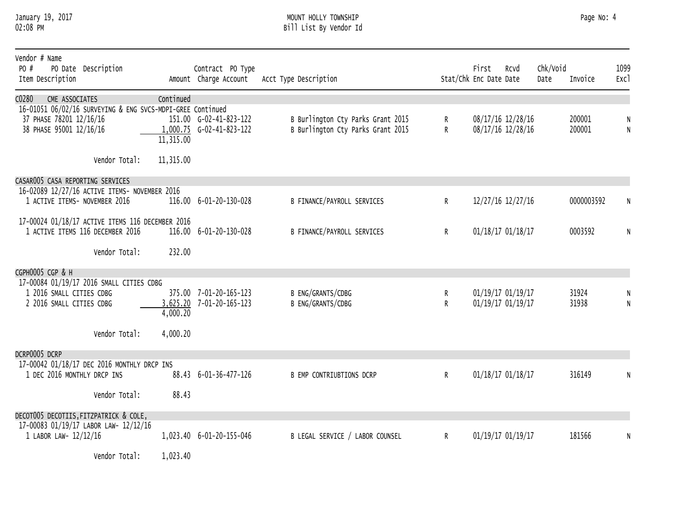#### January 19, 2017 MOUNT HOLLY TOWNSHIP Page No: 4 02:08 PM Bill List By Vendor Id

| Vendor # Name<br>PO #<br>PO Date Description<br>Item Description                                                                            |                        | Contract PO Type<br>Amount Charge Account            | Acct Type Description                                                  |              | First<br>Stat/Chk Enc Date Date | Rcvd                                   | Chk/Void<br>Date | Invoice          | 1099<br>Exc1 |
|---------------------------------------------------------------------------------------------------------------------------------------------|------------------------|------------------------------------------------------|------------------------------------------------------------------------|--------------|---------------------------------|----------------------------------------|------------------|------------------|--------------|
| C0280<br>CME ASSOCIATES<br>16-01051 06/02/16 SURVEYING & ENG SVCS-MDPI-GREE Continued<br>37 PHASE 78201 12/16/16<br>38 PHASE 95001 12/16/16 | Continued<br>11,315.00 | 151.00 G-02-41-823-122<br>$1,000.75$ G-02-41-823-122 | B Burlington Cty Parks Grant 2015<br>B Burlington Cty Parks Grant 2015 | R.<br>R      |                                 | 08/17/16 12/28/16<br>08/17/16 12/28/16 |                  | 200001<br>200001 | N            |
| Vendor Total:                                                                                                                               | 11,315.00              |                                                      |                                                                        |              |                                 |                                        |                  |                  |              |
| CASAR005 CASA REPORTING SERVICES<br>16-02089 12/27/16 ACTIVE ITEMS- NOVEMBER 2016<br>1 ACTIVE ITEMS- NOVEMBER 2016                          |                        | 116.00 6-01-20-130-028                               | B FINANCE/PAYROLL SERVICES                                             | $\mathsf{R}$ |                                 | 12/27/16 12/27/16                      |                  | 0000003592       |              |
| 17-00024 01/18/17 ACTIVE ITEMS 116 DECEMBER 2016<br>1 ACTIVE ITEMS 116 DECEMBER 2016                                                        |                        | 116.00 6-01-20-130-028                               | B FINANCE/PAYROLL SERVICES                                             | $\mathsf{R}$ |                                 | 01/18/17 01/18/17                      |                  | 0003592          | N            |
| Vendor Total:                                                                                                                               | 232.00                 |                                                      |                                                                        |              |                                 |                                        |                  |                  |              |
| CGPH0005 CGP & H<br>17-00084 01/19/17 2016 SMALL CITIES CDBG<br>1 2016 SMALL CITIES CDBG<br>2 2016 SMALL CITIES CDBG<br>Vendor Total:       | 4,000.20<br>4,000.20   | 375.00 7-01-20-165-123<br>3,625.20 7-01-20-165-123   | B ENG/GRANTS/CDBG<br>B ENG/GRANTS/CDBG                                 | R<br>R       |                                 | 01/19/17 01/19/17<br>01/19/17 01/19/17 |                  | 31924<br>31938   | N            |
| DCRP0005 DCRP<br>17-00042 01/18/17 DEC 2016 MONTHLY DRCP INS<br>1 DEC 2016 MONTHLY DRCP INS                                                 |                        | 88.43 6-01-36-477-126                                | <b>B EMP CONTRIUBTIONS DCRP</b>                                        | $\mathsf{R}$ | 01/18/17 01/18/17               |                                        |                  | 316149           | N            |
| Vendor Total:                                                                                                                               | 88.43                  |                                                      |                                                                        |              |                                 |                                        |                  |                  |              |
| DECOT005 DECOTIIS, FITZPATRICK & COLE,<br>17-00083 01/19/17 LABOR LAW- 12/12/16<br>1 LABOR LAW- 12/12/16                                    |                        | 1,023.40 6-01-20-155-046                             | B LEGAL SERVICE / LABOR COUNSEL                                        | $\mathsf{R}$ |                                 | 01/19/17 01/19/17                      |                  | 181566           | N            |
| Vendor Total:                                                                                                                               | 1,023.40               |                                                      |                                                                        |              |                                 |                                        |                  |                  |              |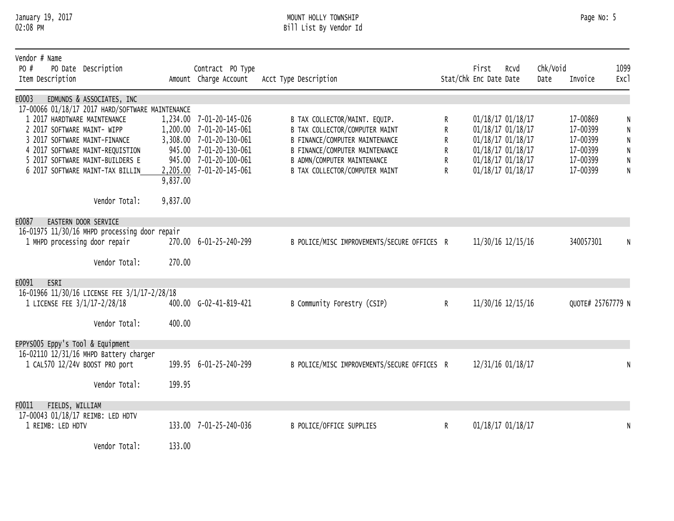## January 19, 2017 MOUNT HOLLY TOWNSHIP Page No: 5 02:08 PM Bill List By Vendor Id

| Vendor # Name<br>PO #<br>PO Date Description<br>Item Description |          | Contract PO Type<br>Amount Charge Account            | Acct Type Description                                           |        | First<br>Stat/Chk Enc Date Date | Rcvd                                   | Chk/Void<br>Date | Invoice              | 1099<br>Exc1            |
|------------------------------------------------------------------|----------|------------------------------------------------------|-----------------------------------------------------------------|--------|---------------------------------|----------------------------------------|------------------|----------------------|-------------------------|
| E0003<br>EDMUNDS & ASSOCIATES, INC                               |          |                                                      |                                                                 |        |                                 |                                        |                  |                      |                         |
| 17-00066 01/18/17 2017 HARD/SOFTWARE MAINTENANCE                 |          |                                                      |                                                                 |        |                                 |                                        |                  |                      |                         |
| 1 2017 HARDTWARE MAINTENANCE                                     |          | 1,234.00 7-01-20-145-026<br>1,200.00 7-01-20-145-061 | B TAX COLLECTOR/MAINT. EQUIP.<br>B TAX COLLECTOR/COMPUTER MAINT | R      |                                 | 01/18/17 01/18/17                      |                  | 17-00869<br>17-00399 | N                       |
| 2 2017 SOFTWARE MAINT- WIPP<br>3 2017 SOFTWARE MAINT-FINANCE     |          | 3,308.00 7-01-20-130-061                             | B FINANCE/COMPUTER MAINTENANCE                                  | R<br>R |                                 | 01/18/17 01/18/17<br>01/18/17 01/18/17 |                  | 17-00399             | N<br>$\mathsf N$        |
| 4 2017 SOFTWARE MAINT-REQUISTION                                 |          | 945.00 7-01-20-130-061                               | B FINANCE/COMPUTER MAINTENANCE                                  | R      |                                 | 01/18/17 01/18/17                      |                  | 17-00399             | $\overline{\mathsf{N}}$ |
| 5 2017 SOFTWARE MAINT-BUILDERS E                                 |          | 945.00 7-01-20-100-061                               | B ADMN/COMPUTER MAINTENANCE                                     | R      |                                 | 01/18/17 01/18/17                      |                  | 17-00399             | $\overline{\mathsf{N}}$ |
| 6 2017 SOFTWARE MAINT-TAX BILLIN                                 |          | 2,205.00 7-01-20-145-061                             | B TAX COLLECTOR/COMPUTER MAINT                                  | R      |                                 | 01/18/17 01/18/17                      |                  | 17-00399             | $\mathsf{N}$            |
|                                                                  | 9,837.00 |                                                      |                                                                 |        |                                 |                                        |                  |                      |                         |
| Vendor Total:                                                    | 9,837.00 |                                                      |                                                                 |        |                                 |                                        |                  |                      |                         |
| E0087<br>EASTERN DOOR SERVICE                                    |          |                                                      |                                                                 |        |                                 |                                        |                  |                      |                         |
| 16-01975 11/30/16 MHPD processing door repair                    |          |                                                      |                                                                 |        |                                 |                                        |                  |                      |                         |
| 1 MHPD processing door repair                                    |          | 270.00 6-01-25-240-299                               | B POLICE/MISC IMPROVEMENTS/SECURE OFFICES R                     |        |                                 | 11/30/16 12/15/16                      |                  | 340057301            | N                       |
| Vendor Total:                                                    | 270.00   |                                                      |                                                                 |        |                                 |                                        |                  |                      |                         |
| E0091<br>ESRI                                                    |          |                                                      |                                                                 |        |                                 |                                        |                  |                      |                         |
| 16-01966 11/30/16 LICENSE FEE 3/1/17-2/28/18                     |          |                                                      |                                                                 |        |                                 |                                        |                  |                      |                         |
| 1 LICENSE FEE 3/1/17-2/28/18                                     |          | 400.00 G-02-41-819-421                               | B Community Forestry (CSIP)                                     | R      |                                 | 11/30/16 12/15/16                      |                  | QUOTE# 25767779 N    |                         |
| Vendor Total:                                                    | 400.00   |                                                      |                                                                 |        |                                 |                                        |                  |                      |                         |
| EPPYS005 Eppy's Tool & Equipment                                 |          |                                                      |                                                                 |        |                                 |                                        |                  |                      |                         |
| 16-02110 12/31/16 MHPD Battery charger                           |          |                                                      |                                                                 |        |                                 |                                        |                  |                      |                         |
| 1 CAL570 12/24V BOOST PRO port                                   |          | 199.95 6-01-25-240-299                               | B POLICE/MISC IMPROVEMENTS/SECURE OFFICES R                     |        |                                 | 12/31/16 01/18/17                      |                  |                      |                         |
| Vendor Total:                                                    | 199.95   |                                                      |                                                                 |        |                                 |                                        |                  |                      |                         |
|                                                                  |          |                                                      |                                                                 |        |                                 |                                        |                  |                      |                         |
| F0011<br>FIELDS, WILLIAM                                         |          |                                                      |                                                                 |        |                                 |                                        |                  |                      |                         |
| 17-00043 01/18/17 REIMB: LED HDTV                                |          |                                                      |                                                                 |        |                                 |                                        |                  |                      |                         |
| 1 REIMB: LED HDTV                                                |          | 133.00 7-01-25-240-036                               | B POLICE/OFFICE SUPPLIES                                        | R      |                                 | 01/18/17 01/18/17                      |                  |                      | N                       |
|                                                                  |          |                                                      |                                                                 |        |                                 |                                        |                  |                      |                         |
| Vendor Total:                                                    | 133.00   |                                                      |                                                                 |        |                                 |                                        |                  |                      |                         |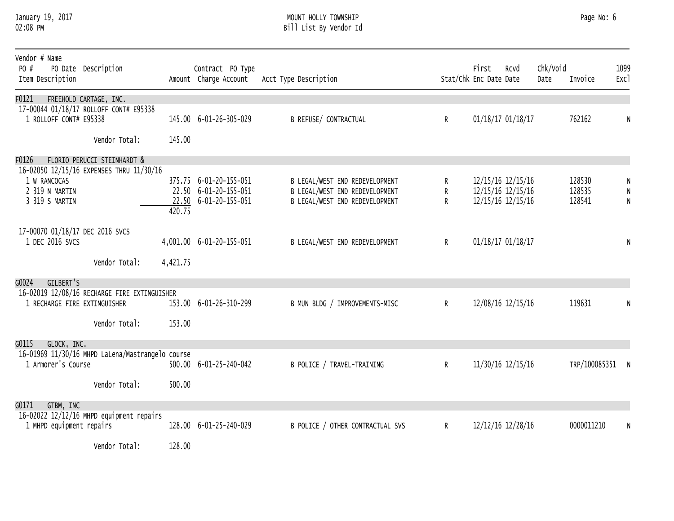#### January 19, 2017 MOUNT HOLLY TOWNSHIP Page No: 6 02:08 PM Bill List By Vendor Id

| Vendor # Name<br>PO #<br>Item Description          | PO Date Description                                                     |          | Contract PO Type<br>Amount Charge Account                                | Acct Type Description                                                                              |              | First<br>Stat/Chk Enc Date Date | Rcvd                                                        | Chk/Void<br>Date | Invoice                    | 1099<br>Exc1 |
|----------------------------------------------------|-------------------------------------------------------------------------|----------|--------------------------------------------------------------------------|----------------------------------------------------------------------------------------------------|--------------|---------------------------------|-------------------------------------------------------------|------------------|----------------------------|--------------|
| F0121<br>1 ROLLOFF CONT# E95338                    | FREEHOLD CARTAGE, INC.<br>17-00044 01/18/17 ROLLOFF CONT# E95338        |          | 145.00 6-01-26-305-029                                                   | <b>B REFUSE/ CONTRACTUAL</b>                                                                       | R            |                                 | 01/18/17 01/18/17                                           |                  | 762162                     | N            |
|                                                    | Vendor Total:                                                           | 145.00   |                                                                          |                                                                                                    |              |                                 |                                                             |                  |                            |              |
| F0126                                              | FLORIO PERUCCI STEINHARDT &<br>16-02050 12/15/16 EXPENSES THRU 11/30/16 |          |                                                                          |                                                                                                    |              |                                 |                                                             |                  |                            |              |
| 1 W RANCOCAS<br>2 319 N MARTIN<br>3 319 S MARTIN   |                                                                         | 420.75   | 375.75 6-01-20-155-051<br>22.50 6-01-20-155-051<br>22.50 6-01-20-155-051 | B LEGAL/WEST END REDEVELOPMENT<br>B LEGAL/WEST END REDEVELOPMENT<br>B LEGAL/WEST END REDEVELOPMENT | R.<br>R<br>R |                                 | 12/15/16 12/15/16<br>12/15/16 12/15/16<br>12/15/16 12/15/16 |                  | 128530<br>128535<br>128541 | $\mathsf{N}$ |
| 17-00070 01/18/17 DEC 2016 SVCS<br>1 DEC 2016 SVCS | Vendor Total:                                                           | 4,421.75 | 4,001.00 6-01-20-155-051                                                 | B LEGAL/WEST END REDEVELOPMENT                                                                     | $\mathsf{R}$ |                                 | 01/18/17 01/18/17                                           |                  |                            | N            |
| GILBERT'S<br>G0024                                 |                                                                         |          |                                                                          |                                                                                                    |              |                                 |                                                             |                  |                            |              |
| 1 RECHARGE FIRE EXTINGUISHER                       | 16-02019 12/08/16 RECHARGE FIRE EXTINGUISHER                            |          | 153.00 6-01-26-310-299                                                   | B MUN BLDG / IMPROVEMENTS-MISC                                                                     | R            |                                 | 12/08/16 12/15/16                                           |                  | 119631                     | N            |
|                                                    | Vendor Total:                                                           | 153.00   |                                                                          |                                                                                                    |              |                                 |                                                             |                  |                            |              |
| G0115<br>GLOCK, INC.<br>1 Armorer's Course         | 16-01969 11/30/16 MHPD LaLena/Mastrangelo course                        |          | 500.00 6-01-25-240-042                                                   | B POLICE / TRAVEL-TRAINING                                                                         | $\mathsf{R}$ |                                 | 11/30/16 12/15/16                                           |                  | TRP/100085351              |              |
|                                                    | Vendor Total:                                                           | 500.00   |                                                                          |                                                                                                    |              |                                 |                                                             |                  |                            |              |
| G0171<br>GTBM, INC<br>1 MHPD equipment repairs     | 16-02022 12/12/16 MHPD equipment repairs                                |          | 128.00 6-01-25-240-029                                                   | B POLICE / OTHER CONTRACTUAL SVS                                                                   | $\mathsf{R}$ |                                 | 12/12/16 12/28/16                                           |                  | 0000011210                 | N            |
|                                                    | Vendor Total:                                                           | 128.00   |                                                                          |                                                                                                    |              |                                 |                                                             |                  |                            |              |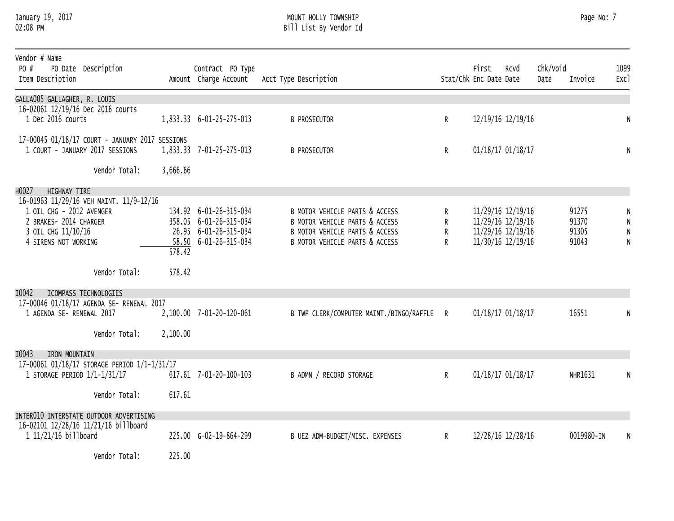#### January 19, 2017 MOUNT HOLLY TOWNSHIP Page No: 7 02:08 PM Bill List By Vendor Id

| Vendor # Name<br>PO #<br>PO Date Description<br>Item Description                                                                            |          | Contract PO Type<br>Amount Charge Account                                                          | Acct Type Description                                                                                                                |                  | First<br>Stat/Chk Enc Date Date                                                  | Rcvd | Chk/Void<br>Date | Invoice                          | 1099<br>Exc1                             |
|---------------------------------------------------------------------------------------------------------------------------------------------|----------|----------------------------------------------------------------------------------------------------|--------------------------------------------------------------------------------------------------------------------------------------|------------------|----------------------------------------------------------------------------------|------|------------------|----------------------------------|------------------------------------------|
| GALLA005 GALLAGHER, R. LOUIS                                                                                                                |          |                                                                                                    |                                                                                                                                      |                  |                                                                                  |      |                  |                                  |                                          |
| 16-02061 12/19/16 Dec 2016 courts<br>1 Dec 2016 courts                                                                                      |          | 1,833.33 6-01-25-275-013                                                                           | <b>B PROSECUTOR</b>                                                                                                                  | R                | 12/19/16 12/19/16                                                                |      |                  |                                  | N                                        |
| 17-00045 01/18/17 COURT - JANUARY 2017 SESSIONS<br>1 COURT - JANUARY 2017 SESSIONS                                                          |          | 1,833.33 7-01-25-275-013                                                                           | <b>B PROSECUTOR</b>                                                                                                                  | R                | 01/18/17 01/18/17                                                                |      |                  |                                  | N                                        |
| Vendor Total:                                                                                                                               | 3,666.66 |                                                                                                    |                                                                                                                                      |                  |                                                                                  |      |                  |                                  |                                          |
| H0027<br><b>HIGHWAY TIRE</b>                                                                                                                |          |                                                                                                    |                                                                                                                                      |                  |                                                                                  |      |                  |                                  |                                          |
| 16-01963 11/29/16 VEH MAINT. 11/9-12/16<br>1 OIL CHG - 2012 AVENGER<br>2 BRAKES- 2014 CHARGER<br>3 OIL CHG 11/10/16<br>4 SIRENS NOT WORKING | 578.42   | 134.92 6-01-26-315-034<br>358.05 6-01-26-315-034<br>26.95 6-01-26-315-034<br>58.50 6-01-26-315-034 | B MOTOR VEHICLE PARTS & ACCESS<br>B MOTOR VEHICLE PARTS & ACCESS<br>B MOTOR VEHICLE PARTS & ACCESS<br>B MOTOR VEHICLE PARTS & ACCESS | R<br>R<br>R<br>R | 11/29/16 12/19/16<br>11/29/16 12/19/16<br>11/29/16 12/19/16<br>11/30/16 12/19/16 |      |                  | 91275<br>91370<br>91305<br>91043 | N<br>${\sf N}$<br>${\sf N}$<br>${\sf N}$ |
| Vendor Total:                                                                                                                               | 578.42   |                                                                                                    |                                                                                                                                      |                  |                                                                                  |      |                  |                                  |                                          |
| I0042<br>ICOMPASS TECHNOLOGIES                                                                                                              |          |                                                                                                    |                                                                                                                                      |                  |                                                                                  |      |                  |                                  |                                          |
| 17-00046 01/18/17 AGENDA SE- RENEWAL 2017                                                                                                   |          |                                                                                                    |                                                                                                                                      |                  |                                                                                  |      |                  | 16551                            |                                          |
| 1 AGENDA SE- RENEWAL 2017                                                                                                                   |          | 2,100.00 7-01-20-120-061                                                                           | B TWP CLERK/COMPUTER MAINT./BINGO/RAFFLE R                                                                                           |                  | 01/18/17 01/18/17                                                                |      |                  |                                  | N                                        |
| Vendor Total:                                                                                                                               | 2,100.00 |                                                                                                    |                                                                                                                                      |                  |                                                                                  |      |                  |                                  |                                          |
| I0043<br>IRON MOUNTAIN                                                                                                                      |          |                                                                                                    |                                                                                                                                      |                  |                                                                                  |      |                  |                                  |                                          |
| 17-00061 01/18/17 STORAGE PERIOD 1/1-1/31/17<br>1 STORAGE PERIOD 1/1-1/31/17                                                                |          | 617.61 7-01-20-100-103                                                                             | B ADMN / RECORD STORAGE                                                                                                              | $\mathsf{R}$     | 01/18/17 01/18/17                                                                |      |                  | NHR1631                          | N                                        |
| Vendor Total:                                                                                                                               | 617.61   |                                                                                                    |                                                                                                                                      |                  |                                                                                  |      |                  |                                  |                                          |
| INTER010 INTERSTATE OUTDOOR ADVERTISING                                                                                                     |          |                                                                                                    |                                                                                                                                      |                  |                                                                                  |      |                  |                                  |                                          |
| 16-02101 12/28/16 11/21/16 billboard<br>1 11/21/16 billboard                                                                                |          | 225.00 G-02-19-864-299                                                                             | B UEZ ADM-BUDGET/MISC. EXPENSES                                                                                                      | R                | 12/28/16 12/28/16                                                                |      |                  | 0019980-IN                       | N                                        |
| Vendor Total:                                                                                                                               | 225.00   |                                                                                                    |                                                                                                                                      |                  |                                                                                  |      |                  |                                  |                                          |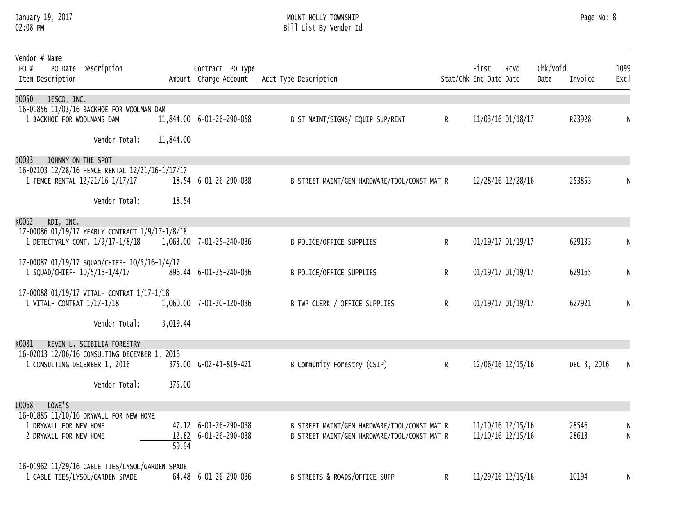#### January 19, 2017 MOUNT HOLLY TOWNSHIP Page No: 8 02:08 PM Bill List By Vendor Id

| Vendor # Name<br>PO #<br>Item Description | PO Date Description                             |           | Contract PO Type<br>Amount Charge Account | Acct Type Description                        |              | First<br>Stat/Chk Enc Date Date | Rcvd              | Chk/Void<br>Date | Invoice     | 1099<br>Exc1 |
|-------------------------------------------|-------------------------------------------------|-----------|-------------------------------------------|----------------------------------------------|--------------|---------------------------------|-------------------|------------------|-------------|--------------|
| J0050<br>JESCO, INC.                      |                                                 |           |                                           |                                              |              |                                 |                   |                  |             |              |
| 1 BACKHOE FOR WOOLMANS DAM                | 16-01856 11/03/16 BACKHOE FOR WOOLMAN DAM       |           | 11,844.00 6-01-26-290-058                 | B ST MAINT/SIGNS/ EQUIP SUP/RENT             | $\mathsf{R}$ |                                 | 11/03/16 01/18/17 |                  | R23928      | N            |
|                                           |                                                 |           |                                           |                                              |              |                                 |                   |                  |             |              |
|                                           | Vendor Total:                                   | 11,844.00 |                                           |                                              |              |                                 |                   |                  |             |              |
| J0093<br>JOHNNY ON THE SPOT               |                                                 |           |                                           |                                              |              |                                 |                   |                  |             |              |
|                                           | 16-02103 12/28/16 FENCE RENTAL 12/21/16-1/17/17 |           |                                           |                                              |              |                                 |                   |                  |             |              |
|                                           | 1 FENCE RENTAL 12/21/16-1/17/17                 |           | 18.54 6-01-26-290-038                     | B STREET MAINT/GEN HARDWARE/TOOL/CONST MAT R |              |                                 | 12/28/16 12/28/16 |                  | 253853      | N            |
|                                           | Vendor Total:                                   | 18.54     |                                           |                                              |              |                                 |                   |                  |             |              |
| к0062<br>KDI, INC.                        |                                                 |           |                                           |                                              |              |                                 |                   |                  |             |              |
|                                           | 17-00086 01/19/17 YEARLY CONTRACT 1/9/17-1/8/18 |           |                                           |                                              |              |                                 |                   |                  |             |              |
|                                           | 1 DETECTYRLY CONT. 1/9/17-1/8/18                |           | 1,063.00 7-01-25-240-036                  | <b>B POLICE/OFFICE SUPPLIES</b>              | R            |                                 | 01/19/17 01/19/17 |                  | 629133      | N            |
|                                           | 17-00087 01/19/17 SQUAD/CHIEF- 10/5/16-1/4/17   |           |                                           |                                              |              |                                 |                   |                  |             |              |
| 1 SQUAD/CHIEF- 10/5/16-1/4/17             |                                                 |           | 896.44 6-01-25-240-036                    | B POLICE/OFFICE SUPPLIES                     | $\mathsf{R}$ |                                 | 01/19/17 01/19/17 |                  | 629165      | N            |
|                                           | 17-00088 01/19/17 VITAL- CONTRAT 1/17-1/18      |           |                                           |                                              |              |                                 |                   |                  |             |              |
| 1 VITAL- CONTRAT 1/17-1/18                |                                                 |           | 1,060.00 7-01-20-120-036                  | B TWP CLERK / OFFICE SUPPLIES                | $\mathsf{R}$ |                                 | 01/19/17 01/19/17 |                  | 627921      | N            |
|                                           |                                                 |           |                                           |                                              |              |                                 |                   |                  |             |              |
|                                           | Vendor Total:                                   | 3,019.44  |                                           |                                              |              |                                 |                   |                  |             |              |
| к0081                                     | KEVIN L. SCIBILIA FORESTRY                      |           |                                           |                                              |              |                                 |                   |                  |             |              |
| 1 CONSULTING DECEMBER 1, 2016             | 16-02013 12/06/16 CONSULTING DECEMBER 1, 2016   |           | 375.00 G-02-41-819-421                    | B Community Forestry (CSIP)                  | $\mathsf{R}$ |                                 | 12/06/16 12/15/16 |                  | DEC 3, 2016 | N            |
|                                           |                                                 |           |                                           |                                              |              |                                 |                   |                  |             |              |
|                                           | Vendor Total:                                   | 375.00    |                                           |                                              |              |                                 |                   |                  |             |              |
| L0068<br>LOWE'S                           |                                                 |           |                                           |                                              |              |                                 |                   |                  |             |              |
|                                           | 16-01885 11/10/16 DRYWALL FOR NEW HOME          |           |                                           |                                              |              |                                 |                   |                  |             |              |
| 1 DRYWALL FOR NEW HOME                    |                                                 |           | 47.12 6-01-26-290-038                     | B STREET MAINT/GEN HARDWARE/TOOL/CONST MAT R |              |                                 | 11/10/16 12/15/16 |                  | 28546       |              |
| 2 DRYWALL FOR NEW HOME                    |                                                 | 59.94     | 12.82 6-01-26-290-038                     | B STREET MAINT/GEN HARDWARE/TOOL/CONST MAT R |              |                                 | 11/10/16 12/15/16 |                  | 28618       | N            |
|                                           | 16-01962 11/29/16 CABLE TIES/LYSOL/GARDEN SPADE |           |                                           |                                              |              |                                 |                   |                  |             |              |
|                                           | 1 CABLE TIES/LYSOL/GARDEN SPADE                 |           | 64.48 6-01-26-290-036                     | B STREETS & ROADS/OFFICE SUPP                | R            |                                 | 11/29/16 12/15/16 |                  | 10194       | N            |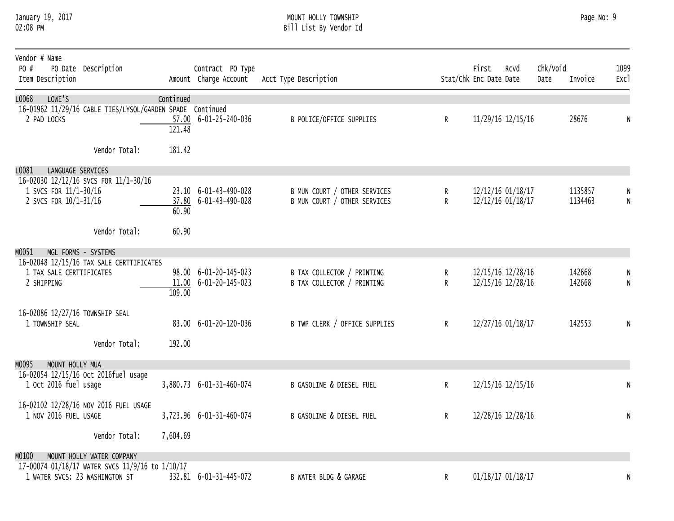#### January 19, 2017 MOUNT HOLLY TOWNSHIP Page No: 9 02:08 PM Bill List By Vendor Id

| Vendor # Name<br>PO #<br>Item Description          | PO Date Description                                                               |           | Contract PO Type<br>Amount Charge Account      | Acct Type Description                                        |        | First<br>Stat/Chk Enc Date Date | Rcvd                                   | Chk/Void<br>Date | Invoice            | 1099<br>Exc1 |
|----------------------------------------------------|-----------------------------------------------------------------------------------|-----------|------------------------------------------------|--------------------------------------------------------------|--------|---------------------------------|----------------------------------------|------------------|--------------------|--------------|
| L0068<br>LOWE'S                                    |                                                                                   | Continued |                                                |                                                              |        |                                 |                                        |                  |                    |              |
| 2 PAD LOCKS                                        | 16-01962 11/29/16 CABLE TIES/LYSOL/GARDEN SPADE Continued                         | 121.48    | 57.00 6-01-25-240-036                          | B POLICE/OFFICE SUPPLIES                                     | R      |                                 | 11/29/16 12/15/16                      |                  | 28676              | N            |
|                                                    | Vendor Total:                                                                     | 181.42    |                                                |                                                              |        |                                 |                                        |                  |                    |              |
| L0081<br>LANGUAGE SERVICES                         |                                                                                   |           |                                                |                                                              |        |                                 |                                        |                  |                    |              |
| 1 SVCS FOR 11/1-30/16<br>2 SVCS FOR 10/1-31/16     | 16-02030 12/12/16 SVCS FOR 11/1-30/16                                             | 60.90     | 23.10 6-01-43-490-028<br>37.80 6-01-43-490-028 | B MUN COURT / OTHER SERVICES<br>B MUN COURT / OTHER SERVICES | R<br>R |                                 | 12/12/16 01/18/17<br>12/12/16 01/18/17 |                  | 1135857<br>1134463 | N            |
|                                                    | Vendor Total:                                                                     | 60.90     |                                                |                                                              |        |                                 |                                        |                  |                    |              |
| м0051                                              | MGL FORMS - SYSTEMS                                                               |           |                                                |                                                              |        |                                 |                                        |                  |                    |              |
| 1 TAX SALE CERTTIFICATES<br>2 SHIPPING             | 16-02048 12/15/16 TAX SALE CERTTIFICATES                                          | 109.00    | 98.00 6-01-20-145-023<br>11.00 6-01-20-145-023 | B TAX COLLECTOR / PRINTING<br>B TAX COLLECTOR / PRINTING     | R<br>R |                                 | 12/15/16 12/28/16<br>12/15/16 12/28/16 |                  | 142668<br>142668   | N            |
| 16-02086 12/27/16 TOWNSHIP SEAL<br>1 TOWNSHIP SEAL |                                                                                   |           | 83.00 6-01-20-120-036                          | B TWP CLERK / OFFICE SUPPLIES                                | R      |                                 | 12/27/16 01/18/17                      |                  | 142553             | N            |
|                                                    | Vendor Total:                                                                     | 192.00    |                                                |                                                              |        |                                 |                                        |                  |                    |              |
| MOUNT HOLLY MUA<br>м0095                           |                                                                                   |           |                                                |                                                              |        |                                 |                                        |                  |                    |              |
| 1 Oct 2016 fuel usage                              | 16-02054 12/15/16 Oct 2016fuel usage                                              |           | 3,880.73 6-01-31-460-074                       | <b>B GASOLINE &amp; DIESEL FUEL</b>                          | R      |                                 | 12/15/16 12/15/16                      |                  |                    | N            |
| 1 NOV 2016 FUEL USAGE                              | 16-02102 12/28/16 NOV 2016 FUEL USAGE                                             |           | 3,723.96 6-01-31-460-074                       | B GASOLINE & DIESEL FUEL                                     | R      |                                 | 12/28/16 12/28/16                      |                  |                    | N            |
|                                                    | Vendor Total:                                                                     | 7,604.69  |                                                |                                                              |        |                                 |                                        |                  |                    |              |
| MO100                                              | MOUNT HOLLY WATER COMPANY                                                         |           |                                                |                                                              |        |                                 |                                        |                  |                    |              |
|                                                    | 17-00074 01/18/17 WATER SVCS 11/9/16 to 1/10/17<br>1 WATER SVCS: 23 WASHINGTON ST |           | 332.81 6-01-31-445-072                         | B WATER BLDG & GARAGE                                        | R      |                                 | 01/18/17 01/18/17                      |                  |                    | N            |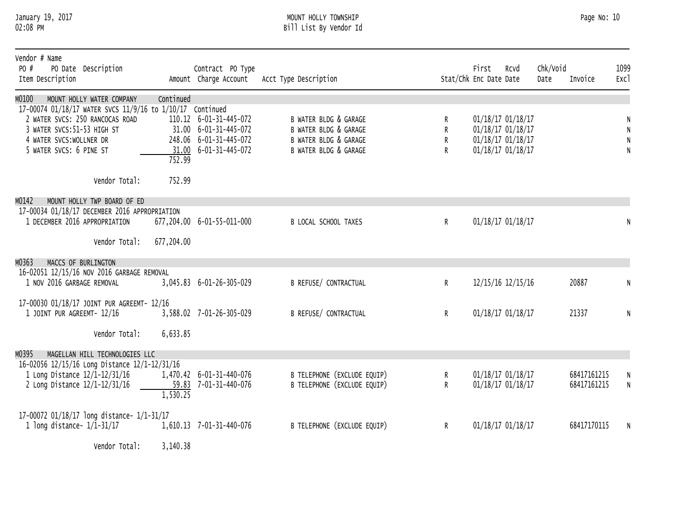#### January 19, 2017 MOUNT HOLLY TOWNSHIP Page No: 10 02:08 PM Bill List By Vendor Id

| Vendor # Name<br>PO #<br>PO Date Description<br>Item Description                                                                                                                                                        |                     | Contract PO Type<br>Amount Charge Account                                                           | Acct Type Description                                                                            |                   | First<br>Stat/Chk Enc Date Date | Rcvd                                                                             | Chk/Void<br>Date | Invoice                    | 1099<br>Exc1             |
|-------------------------------------------------------------------------------------------------------------------------------------------------------------------------------------------------------------------------|---------------------|-----------------------------------------------------------------------------------------------------|--------------------------------------------------------------------------------------------------|-------------------|---------------------------------|----------------------------------------------------------------------------------|------------------|----------------------------|--------------------------|
| MO100<br>MOUNT HOLLY WATER COMPANY<br>17-00074 01/18/17 WATER SVCS 11/9/16 to 1/10/17 Continued<br>2 WATER SVCS: 250 RANCOCAS ROAD<br>3 WATER SVCS: 51-53 HIGH ST<br>4 WATER SVCS:WOLLNER DR<br>5 WATER SVCS: 6 PINE ST | Continued<br>752.99 | 110.12  6-01-31-445-072<br>31.00 6-01-31-445-072<br>248.06 6-01-31-445-072<br>31.00 6-01-31-445-072 | B WATER BLDG & GARAGE<br>B WATER BLDG & GARAGE<br>B WATER BLDG & GARAGE<br>B WATER BLDG & GARAGE | R<br>R<br>R<br>R. |                                 | 01/18/17 01/18/17<br>01/18/17 01/18/17<br>01/18/17 01/18/17<br>01/18/17 01/18/17 |                  |                            | N<br>N<br>${\sf N}$<br>N |
| Vendor Total:                                                                                                                                                                                                           | 752.99              |                                                                                                     |                                                                                                  |                   |                                 |                                                                                  |                  |                            |                          |
| MO142<br>MOUNT HOLLY TWP BOARD OF ED<br>17-00034 01/18/17 DECEMBER 2016 APPROPRIATION<br>1 DECEMBER 2016 APPROPRIATION<br>Vendor Total:                                                                                 | 677,204.00          | 677,204.00 6-01-55-011-000                                                                          | B LOCAL SCHOOL TAXES                                                                             | $\mathsf{R}$      |                                 | 01/18/17 01/18/17                                                                |                  |                            |                          |
| MO363<br>MACCS OF BURLINGTON                                                                                                                                                                                            |                     |                                                                                                     |                                                                                                  |                   |                                 |                                                                                  |                  |                            |                          |
| 16-02051 12/15/16 NOV 2016 GARBAGE REMOVAL<br>1 NOV 2016 GARBAGE REMOVAL                                                                                                                                                |                     | 3,045.83 6-01-26-305-029                                                                            | <b>B REFUSE/ CONTRACTUAL</b>                                                                     | R                 |                                 | 12/15/16 12/15/16                                                                |                  | 20887                      | N                        |
| 17-00030 01/18/17 JOINT PUR AGREEMT- 12/16<br>1 JOINT PUR AGREEMT- 12/16                                                                                                                                                |                     | 3,588.02 7-01-26-305-029                                                                            | <b>B REFUSE/ CONTRACTUAL</b>                                                                     | $\mathsf{R}^-$    |                                 | 01/18/17 01/18/17                                                                |                  | 21337                      | N                        |
| Vendor Total:                                                                                                                                                                                                           | 6,633.85            |                                                                                                     |                                                                                                  |                   |                                 |                                                                                  |                  |                            |                          |
| MO395<br>MAGELLAN HILL TECHNOLOGIES LLC                                                                                                                                                                                 |                     |                                                                                                     |                                                                                                  |                   |                                 |                                                                                  |                  |                            |                          |
| 16-02056 12/15/16 Long Distance 12/1-12/31/16<br>1 Long Distance 12/1-12/31/16<br>2 Long Distance 12/1-12/31/16                                                                                                         | 1,530.25            | 1,470.42 6-01-31-440-076<br>59.83 7-01-31-440-076                                                   | B TELEPHONE (EXCLUDE EQUIP)<br>B TELEPHONE (EXCLUDE EQUIP)                                       | R<br>R            |                                 | 01/18/17 01/18/17<br>01/18/17 01/18/17                                           |                  | 68417161215<br>68417161215 | N<br>N                   |
| 17-00072 01/18/17 long distance- 1/1-31/17<br>1 long distance- $1/1-31/17$                                                                                                                                              |                     | 1,610.13 7-01-31-440-076                                                                            | B TELEPHONE (EXCLUDE EQUIP)                                                                      | R.                |                                 | 01/18/17 01/18/17                                                                |                  | 68417170115                | N                        |

Vendor Total: 3,140.38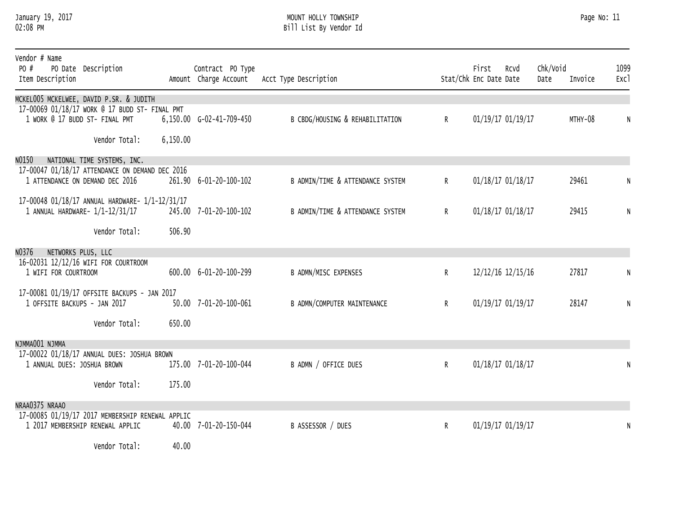#### January 19, 2017 MOUNT HOLLY TOWNSHIP Page No: 11 02:08 PM Bill List By Vendor Id

| Vendor # Name<br>PO #<br>PO Date Description<br>Item Description                                              |                 | Contract PO Type         | Amount Charge Account Acct Type Description |              | First<br>Stat/Chk Enc Date Date | Rcvd              | Chk/Void<br>Date | Invoice | 1099<br><b>Exc1</b> |
|---------------------------------------------------------------------------------------------------------------|-----------------|--------------------------|---------------------------------------------|--------------|---------------------------------|-------------------|------------------|---------|---------------------|
| MCKEL005 MCKELWEE, DAVID P.SR. & JUDITH<br>17-00069 01/18/17 WORK @ 17 BUDD ST- FINAL PMT                     |                 |                          |                                             |              |                                 |                   |                  |         |                     |
| 1 WORK @ 17 BUDD ST- FINAL PMT                                                                                |                 | 6,150.00 G-02-41-709-450 | B CBDG/HOUSING & REHABILITATION             | $\mathsf{R}$ |                                 | 01/19/17 01/19/17 |                  | MTHY-08 | N                   |
| Vendor Total:                                                                                                 | 6,150.00        |                          |                                             |              |                                 |                   |                  |         |                     |
| NO150<br>NATIONAL TIME SYSTEMS, INC.                                                                          |                 |                          |                                             |              |                                 |                   |                  |         |                     |
| 17-00047 01/18/17 ATTENDANCE ON DEMAND DEC 2016<br>1 ATTENDANCE ON DEMAND DEC 2016                            |                 | 261.90 6-01-20-100-102   | B ADMIN/TIME & ATTENDANCE SYSTEM            | $\mathsf{R}$ |                                 | 01/18/17 01/18/17 |                  | 29461   |                     |
| 17-00048 01/18/17 ANNUAL HARDWARE- 1/1-12/31/17<br>1 ANNUAL HARDWARE- 1/1-12/31/17                            |                 | 245.00 7-01-20-100-102   | B ADMIN/TIME & ATTENDANCE SYSTEM            | $\mathsf{R}$ |                                 | 01/18/17 01/18/17 |                  | 29415   | N                   |
| Vendor Total:                                                                                                 | 506.90          |                          |                                             |              |                                 |                   |                  |         |                     |
| NO376<br>NETWORKS PLUS, LLC                                                                                   |                 |                          |                                             |              |                                 |                   |                  |         |                     |
| 16-02031 12/12/16 WIFI FOR COURTROOM<br>1 WIFI FOR COURTROOM                                                  |                 | 600.00 6-01-20-100-299   | B ADMN/MISC EXPENSES                        | $\mathsf{R}$ |                                 | 12/12/16 12/15/16 |                  | 27817   | N                   |
| 17-00081 01/19/17 OFFSITE BACKUPS - JAN 2017                                                                  |                 |                          |                                             |              |                                 |                   |                  |         |                     |
| 1 OFFSITE BACKUPS - JAN 2017                                                                                  |                 | 50.00 7-01-20-100-061    | B ADMN/COMPUTER MAINTENANCE                 | $\mathsf{R}$ |                                 | 01/19/17 01/19/17 |                  | 28147   | N                   |
| Vendor Total:                                                                                                 | 650.00          |                          |                                             |              |                                 |                   |                  |         |                     |
| NJMMA001 NJMMA                                                                                                |                 |                          |                                             |              |                                 |                   |                  |         |                     |
| 17-00022 01/18/17 ANNUAL DUES: JOSHUA BROWN<br>1 ANNUAL DUES: JOSHUA BROWN                                    |                 | 175.00 7-01-20-100-044   | B ADMN / OFFICE DUES                        | R            |                                 | 01/18/17 01/18/17 |                  |         | $\mathsf{N}$        |
| Vendor Total:                                                                                                 | 175.00          |                          |                                             |              |                                 |                   |                  |         |                     |
| NRAA0375 NRAAO                                                                                                |                 |                          |                                             |              |                                 |                   |                  |         |                     |
| 17-00085 01/19/17 2017 MEMBERSHIP RENEWAL APPLIC<br>1 2017 MEMBERSHIP RENEWAL APPLIC                          |                 | 40.00 7-01-20-150-044    | B ASSESSOR / DUES                           | R            |                                 | 01/19/17 01/19/17 |                  |         | N                   |
| the second control of the second control of the second control of the second control of the second control of | $\overline{10}$ |                          |                                             |              |                                 |                   |                  |         |                     |

Vendor Total: 40.00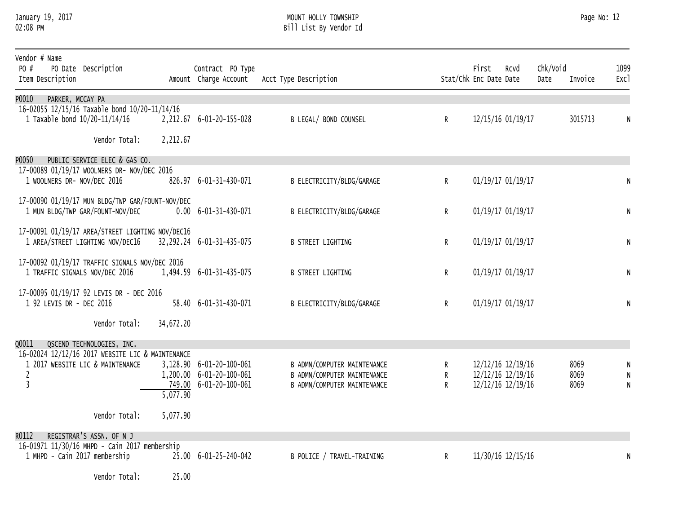#### January 19, 2017 MOUNT HOLLY TOWNSHIP Page No: 12 02:08 PM Bill List By Vendor Id

| Vendor # Name<br>PO #<br>Item Description | PO Date Description                              |           | Contract PO Type<br>Amount Charge Account          | Acct Type Description                                      |                   | First<br>Stat/Chk Enc Date Date        | Rcvd | Chk/Void<br>Date | Invoice      | 1099<br>Exc1                 |
|-------------------------------------------|--------------------------------------------------|-----------|----------------------------------------------------|------------------------------------------------------------|-------------------|----------------------------------------|------|------------------|--------------|------------------------------|
| P0010<br>PARKER, MCCAY PA                 |                                                  |           |                                                    |                                                            |                   |                                        |      |                  |              |                              |
| 1 Taxable bond 10/20-11/14/16             | 16-02055 12/15/16 Taxable bond 10/20-11/14/16    |           | 2,212.67 6-01-20-155-028                           | B LEGAL/ BOND COUNSEL                                      | $\mathsf{R}$      | 12/15/16 01/19/17                      |      |                  | 3015713      | N                            |
|                                           | Vendor Total:                                    | 2,212.67  |                                                    |                                                            |                   |                                        |      |                  |              |                              |
| P0050                                     | PUBLIC SERVICE ELEC & GAS CO.                    |           |                                                    |                                                            |                   |                                        |      |                  |              |                              |
|                                           | 17-00089 01/19/17 WOOLNERS DR- NOV/DEC 2016      |           |                                                    |                                                            |                   |                                        |      |                  |              |                              |
| 1 WOOLNERS DR- NOV/DEC 2016               |                                                  |           | 826.97 6-01-31-430-071                             | B ELECTRICITY/BLDG/GARAGE                                  | $\mathsf{R}$      | 01/19/17 01/19/17                      |      |                  |              | N                            |
|                                           | 17-00090 01/19/17 MUN BLDG/TWP GAR/FOUNT-NOV/DEC |           |                                                    |                                                            |                   |                                        |      |                  |              |                              |
|                                           | 1 MUN BLDG/TWP GAR/FOUNT-NOV/DEC                 |           | $0.00 \quad 6 - 01 - 31 - 430 - 071$               | B ELECTRICITY/BLDG/GARAGE                                  | R                 | 01/19/17 01/19/17                      |      |                  |              | $\mathsf{N}$                 |
|                                           | 17-00091 01/19/17 AREA/STREET LIGHTING NOV/DEC16 |           |                                                    |                                                            |                   |                                        |      |                  |              |                              |
|                                           | 1 AREA/STREET LIGHTING NOV/DEC16                 |           | 32, 292. 24 6-01-31-435-075                        | <b>B STREET LIGHTING</b>                                   | $\mathsf{R}$      | 01/19/17 01/19/17                      |      |                  |              | ${\sf N}$                    |
|                                           |                                                  |           |                                                    |                                                            |                   |                                        |      |                  |              |                              |
| 1 TRAFFIC SIGNALS NOV/DEC 2016            | 17-00092 01/19/17 TRAFFIC SIGNALS NOV/DEC 2016   |           | 1,494.59 6-01-31-435-075                           | <b>B STREET LIGHTING</b>                                   | $\mathsf{R}$      | 01/19/17 01/19/17                      |      |                  |              | N                            |
|                                           |                                                  |           |                                                    |                                                            |                   |                                        |      |                  |              |                              |
| 1 92 LEVIS DR - DEC 2016                  | 17-00095 01/19/17 92 LEVIS DR - DEC 2016         |           | 58.40 6-01-31-430-071                              |                                                            |                   |                                        |      |                  |              |                              |
|                                           |                                                  |           |                                                    | B ELECTRICITY/BLDG/GARAGE                                  | R                 | 01/19/17 01/19/17                      |      |                  |              | ${\sf N}$                    |
|                                           | Vendor Total:                                    | 34,672.20 |                                                    |                                                            |                   |                                        |      |                  |              |                              |
| Q0011                                     | QSCEND TECHNOLOGIES, INC.                        |           |                                                    |                                                            |                   |                                        |      |                  |              |                              |
|                                           | 16-02024 12/12/16 2017 WEBSITE LIC & MAINTENANCE |           |                                                    |                                                            |                   |                                        |      |                  |              |                              |
|                                           | 1 2017 WEBSITE LIC & MAINTENANCE                 |           | 3,128.90 6-01-20-100-061                           | B ADMN/COMPUTER MAINTENANCE                                | R                 | 12/12/16 12/19/16                      |      |                  | 8069         | N                            |
| $\mathbf{2}$<br>$\overline{3}$            |                                                  |           | 1,200.00 6-01-20-100-061<br>749.00 6-01-20-100-061 | B ADMN/COMPUTER MAINTENANCE<br>B ADMN/COMPUTER MAINTENANCE | $\mathsf{R}$<br>R | 12/12/16 12/19/16<br>12/12/16 12/19/16 |      |                  | 8069<br>8069 | $\mathsf{N}$<br>$\mathsf{N}$ |
|                                           |                                                  | 5,077.90  |                                                    |                                                            |                   |                                        |      |                  |              |                              |
|                                           | Vendor Total:                                    | 5,077.90  |                                                    |                                                            |                   |                                        |      |                  |              |                              |
|                                           |                                                  |           |                                                    |                                                            |                   |                                        |      |                  |              |                              |
| R0112                                     | REGISTRAR'S ASSN. OF N J                         |           |                                                    |                                                            |                   |                                        |      |                  |              |                              |
| 1 MHPD - Cain 2017 membership             | 16-01971 11/30/16 MHPD - Cain 2017 membership    |           | 25.00 6-01-25-240-042                              | B POLICE / TRAVEL-TRAINING                                 | $\mathsf{R}$      | 11/30/16 12/15/16                      |      |                  |              | N                            |
|                                           |                                                  |           |                                                    |                                                            |                   |                                        |      |                  |              |                              |
|                                           | Vendor Total:                                    | 25.00     |                                                    |                                                            |                   |                                        |      |                  |              |                              |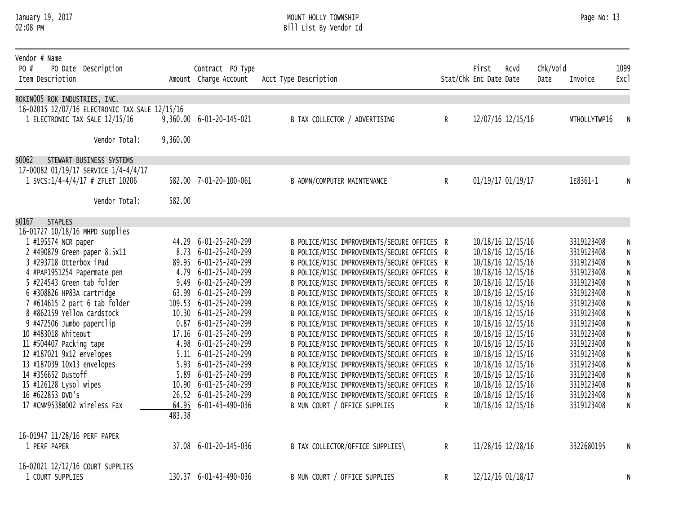#### January 19, 2017 MOUNT HOLLY TOWNSHIP Page No: 13 02:08 PM Bill List By Vendor Id

| Vendor # Name<br>PO #<br>PO Date Description<br>Item Description         |          | Contract PO Type<br>Amount Charge Account | Acct Type Description                                                                      |              | First<br>Stat/Chk Enc Date Date | RCVd              | Chk/Void<br>Date | Invoice      | 1099<br>Exc1           |
|--------------------------------------------------------------------------|----------|-------------------------------------------|--------------------------------------------------------------------------------------------|--------------|---------------------------------|-------------------|------------------|--------------|------------------------|
| ROKINO05 ROK INDUSTRIES, INC.                                            |          |                                           |                                                                                            |              |                                 |                   |                  |              |                        |
| 16-02015 12/07/16 ELECTRONIC TAX SALE 12/15/16                           |          |                                           |                                                                                            |              |                                 |                   |                  |              |                        |
| 1 ELECTRONIC TAX SALE 12/15/16                                           |          | 9,360.00 6-01-20-145-021                  | B TAX COLLECTOR / ADVERTISING                                                              | $\mathsf{R}$ |                                 | 12/07/16 12/15/16 |                  | MTHOLLYTWP16 | N                      |
|                                                                          |          |                                           |                                                                                            |              |                                 |                   |                  |              |                        |
| Vendor Total:                                                            | 9,360.00 |                                           |                                                                                            |              |                                 |                   |                  |              |                        |
|                                                                          |          |                                           |                                                                                            |              |                                 |                   |                  |              |                        |
| S0062<br>STEWART BUSINESS SYSTEMS                                        |          |                                           |                                                                                            |              |                                 |                   |                  |              |                        |
| 17-00082 01/19/17 SERVICE 1/4-4/4/17<br>1 SVCS: 1/4-4/4/17 # ZFLET 10206 |          | 582.00 7-01-20-100-061                    | B ADMN/COMPUTER MAINTENANCE                                                                | $\mathsf{R}$ |                                 | 01/19/17 01/19/17 |                  | 1E8361-1     | N                      |
|                                                                          |          |                                           |                                                                                            |              |                                 |                   |                  |              |                        |
| Vendor Total:                                                            | 582.00   |                                           |                                                                                            |              |                                 |                   |                  |              |                        |
|                                                                          |          |                                           |                                                                                            |              |                                 |                   |                  |              |                        |
| S0167<br><b>STAPLES</b>                                                  |          |                                           |                                                                                            |              |                                 |                   |                  |              |                        |
| 16-01727 10/18/16 MHPD supplies                                          |          | 44.29 6-01-25-240-299                     | B POLICE/MISC IMPROVEMENTS/SECURE OFFICES R                                                |              |                                 | 10/18/16 12/15/16 |                  | 3319123408   |                        |
| 1 #195574 NCR paper<br>2 #490879 Green paper 8.5x11                      |          | 8.73 6-01-25-240-299                      | B POLICE/MISC IMPROVEMENTS/SECURE OFFICES R                                                |              |                                 | 10/18/16 12/15/16 |                  | 3319123408   | N<br>${\sf N}$         |
| 3 #293718 Otterbox iPad                                                  |          | 89.95 6-01-25-240-299                     |                                                                                            |              |                                 |                   |                  | 3319123408   |                        |
| 4 #PAP1951254 Papermate pen                                              |          | 4.79 6-01-25-240-299                      | B POLICE/MISC IMPROVEMENTS/SECURE OFFICES R<br>B POLICE/MISC IMPROVEMENTS/SECURE OFFICES R |              |                                 | 10/18/16 12/15/16 |                  | 3319123408   | ${\sf N}$<br>${\sf N}$ |
| 5 #224543 Green tab folder                                               |          | 9.49 6-01-25-240-299                      |                                                                                            |              |                                 | 10/18/16 12/15/16 |                  | 3319123408   |                        |
|                                                                          |          |                                           | B POLICE/MISC IMPROVEMENTS/SECURE OFFICES R                                                |              |                                 | 10/18/16 12/15/16 |                  |              | ${\sf N}$              |
| 6 #308826 HP83A cartridge                                                |          | 63.99 6-01-25-240-299                     | B POLICE/MISC IMPROVEMENTS/SECURE OFFICES R                                                |              |                                 | 10/18/16 12/15/16 |                  | 3319123408   | ${\sf N}$              |
| 7 #614615 2 part 6 tab folder<br>8 #862159 Yellow cardstock              |          | 109.53 6-01-25-240-299                    | B POLICE/MISC IMPROVEMENTS/SECURE OFFICES R                                                |              |                                 | 10/18/16 12/15/16 |                  | 3319123408   | ${\sf N}$              |
|                                                                          |          | 10.30 6-01-25-240-299                     | B POLICE/MISC IMPROVEMENTS/SECURE OFFICES R                                                |              |                                 | 10/18/16 12/15/16 |                  | 3319123408   | $\mathsf{N}$           |
| 9 #472506 Jumbo paperclip                                                |          | $0.87$ 6-01-25-240-299                    | B POLICE/MISC IMPROVEMENTS/SECURE OFFICES R                                                |              |                                 | 10/18/16 12/15/16 |                  | 3319123408   | ${\sf N}$              |
| 10 #483018 whiteout                                                      |          | 17.16 6-01-25-240-299                     | B POLICE/MISC IMPROVEMENTS/SECURE OFFICES R                                                |              |                                 | 10/18/16 12/15/16 |                  | 3319123408   | ${\sf N}$              |
| 11 #504407 Packing tape                                                  |          | 4.98 6-01-25-240-299                      | B POLICE/MISC IMPROVEMENTS/SECURE OFFICES R                                                |              |                                 | 10/18/16 12/15/16 |                  | 3319123408   | ${\sf N}$              |
| 12 #187021 9x12 envelopes                                                |          | 5.11 6-01-25-240-299                      | B POLICE/MISC IMPROVEMENTS/SECURE OFFICES R                                                |              |                                 | 10/18/16 12/15/16 |                  | 3319123408   | ${\sf N}$              |
| 13 #187039 10x13 envelopes                                               |          | 5.93 6-01-25-240-299                      | B POLICE/MISC IMPROVEMENTS/SECURE OFFICES R                                                |              |                                 | 10/18/16 12/15/16 |                  | 3319123408   | ${\sf N}$              |
| 14 #356652 Dustoff                                                       |          | 5.89 6-01-25-240-299                      | B POLICE/MISC IMPROVEMENTS/SECURE OFFICES R                                                |              |                                 | 10/18/16 12/15/16 |                  | 3319123408   | ${\sf N}$              |
| 15 #126128 Lysol wipes                                                   |          | 10.90 6-01-25-240-299                     | B POLICE/MISC IMPROVEMENTS/SECURE OFFICES R                                                |              |                                 | 10/18/16 12/15/16 |                  | 3319123408   | ${\sf N}$              |
| 16 #622853 DVD's                                                         |          | 26.52 6-01-25-240-299                     | B POLICE/MISC IMPROVEMENTS/SECURE OFFICES R                                                |              |                                 | 10/18/16 12/15/16 |                  | 3319123408   | ${\sf N}$              |
| 17 #CNM9538B002 Wireless Fax                                             | 483.38   | 64.95 6-01-43-490-036                     | B MUN COURT / OFFICE SUPPLIES                                                              | R.           |                                 | 10/18/16 12/15/16 |                  | 3319123408   | $\mathsf{N}$           |
|                                                                          |          |                                           |                                                                                            |              |                                 |                   |                  |              |                        |
| 16-01947 11/28/16 PERF PAPER                                             |          |                                           |                                                                                            |              |                                 |                   |                  |              |                        |
| 1 PERF PAPER                                                             |          | 37.08 6-01-20-145-036                     | B TAX COLLECTOR/OFFICE SUPPLIES\                                                           | $\mathsf{R}$ |                                 | 11/28/16 12/28/16 |                  | 3322680195   | N                      |
| 16-02021 12/12/16 COURT SUPPLIES                                         |          |                                           |                                                                                            |              |                                 |                   |                  |              |                        |
| 1 COURT SUPPLIES                                                         |          | 130.37 6-01-43-490-036                    | B MUN COURT / OFFICE SUPPLIES                                                              | R            |                                 | 12/12/16 01/18/17 |                  |              | N                      |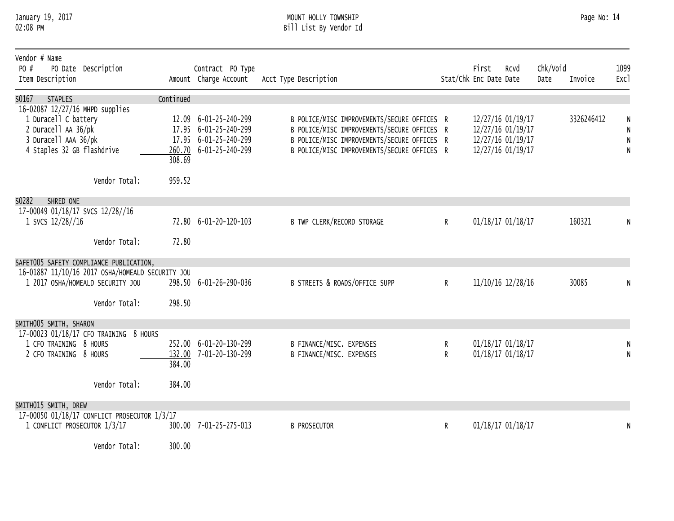#### January 19, 2017 MOUNT HOLLY TOWNSHIP Page No: 14 02:08 PM Bill List By Vendor Id

| Vendor # Name<br>PO #<br>PO Date Description<br>Item Description                                                                                                                                                               |               | Contract PO Type<br>Amount Charge Account                                                         | Acct Type Description                                                                                                                                                                    |        | First<br>Stat/Chk Enc Date Date | Rcvd                                                                             | Chk/Void<br>Date | Invoice    | 1099<br>Exc1 |
|--------------------------------------------------------------------------------------------------------------------------------------------------------------------------------------------------------------------------------|---------------|---------------------------------------------------------------------------------------------------|------------------------------------------------------------------------------------------------------------------------------------------------------------------------------------------|--------|---------------------------------|----------------------------------------------------------------------------------|------------------|------------|--------------|
| S0167<br><b>STAPLES</b>                                                                                                                                                                                                        | Continued     |                                                                                                   |                                                                                                                                                                                          |        |                                 |                                                                                  |                  |            |              |
| 16-02087 12/27/16 MHPD supplies<br>1 Duracell C battery<br>2 Duracell AA 36/pk<br>3 Duracell AAA 36/pk<br>4 Staples 32 GB flashdrive                                                                                           | 308.69        | 12.09 6-01-25-240-299<br>17.95 6-01-25-240-299<br>17.95 6-01-25-240-299<br>260.70 6-01-25-240-299 | B POLICE/MISC IMPROVEMENTS/SECURE OFFICES R<br>B POLICE/MISC IMPROVEMENTS/SECURE OFFICES R<br>B POLICE/MISC IMPROVEMENTS/SECURE OFFICES R<br>B POLICE/MISC IMPROVEMENTS/SECURE OFFICES R |        |                                 | 12/27/16 01/19/17<br>12/27/16 01/19/17<br>12/27/16 01/19/17<br>12/27/16 01/19/17 |                  | 3326246412 | N            |
| Vendor Total:                                                                                                                                                                                                                  | 959.52        |                                                                                                   |                                                                                                                                                                                          |        |                                 |                                                                                  |                  |            |              |
| S0282<br>SHRED ONE                                                                                                                                                                                                             |               |                                                                                                   |                                                                                                                                                                                          |        |                                 |                                                                                  |                  |            |              |
| 17-00049 01/18/17 SVCS 12/28//16<br>1 SVCS 12/28//16                                                                                                                                                                           |               | 72.80 6-01-20-120-103                                                                             | <b>B TWP CLERK/RECORD STORAGE</b>                                                                                                                                                        | R      |                                 | 01/18/17 01/18/17                                                                |                  | 160321     |              |
| Vendor Total:                                                                                                                                                                                                                  | 72.80         |                                                                                                   |                                                                                                                                                                                          |        |                                 |                                                                                  |                  |            |              |
| SAFET005 SAFETY COMPLIANCE PUBLICATION,<br>16-01887 11/10/16 2017 OSHA/HOMEALD SECURITY JOU<br>1 2017 OSHA/HOMEALD SECURITY JOU                                                                                                |               | 298.50 6-01-26-290-036                                                                            | B STREETS & ROADS/OFFICE SUPP                                                                                                                                                            | R      |                                 | 11/10/16 12/28/16                                                                |                  | 30085      |              |
| Vendor Total:                                                                                                                                                                                                                  | 298.50        |                                                                                                   |                                                                                                                                                                                          |        |                                 |                                                                                  |                  |            |              |
| SMITH005 SMITH, SHARON<br>17-00023 01/18/17 CFO TRAINING 8 HOURS                                                                                                                                                               |               |                                                                                                   |                                                                                                                                                                                          |        |                                 |                                                                                  |                  |            |              |
| 1 CFO TRAINING 8 HOURS<br>2 CFO TRAINING 8 HOURS                                                                                                                                                                               | 384.00        | 252.00 6-01-20-130-299<br>132.00 7-01-20-130-299                                                  | B FINANCE/MISC. EXPENSES<br>B FINANCE/MISC. EXPENSES                                                                                                                                     | R<br>R |                                 | 01/18/17 01/18/17<br>01/18/17 01/18/17                                           |                  |            |              |
| Vendor Total:                                                                                                                                                                                                                  | 384.00        |                                                                                                   |                                                                                                                                                                                          |        |                                 |                                                                                  |                  |            |              |
| SMITHO15 SMITH, DREW                                                                                                                                                                                                           |               |                                                                                                   |                                                                                                                                                                                          |        |                                 |                                                                                  |                  |            |              |
| 17-00050 01/18/17 CONFLICT PROSECUTOR 1/3/17<br>1 CONFLICT PROSECUTOR 1/3/17                                                                                                                                                   |               | 300.00 7-01-25-275-013                                                                            | <b>B PROSECUTOR</b>                                                                                                                                                                      | R      |                                 | 01/18/17 01/18/17                                                                |                  |            | N            |
| and the second control of the second second and the second second second and second the second second and second and second and second and second and second and second and second and second and second and second and second | $\sim$ $\sim$ |                                                                                                   |                                                                                                                                                                                          |        |                                 |                                                                                  |                  |            |              |

Vendor Total: 300.00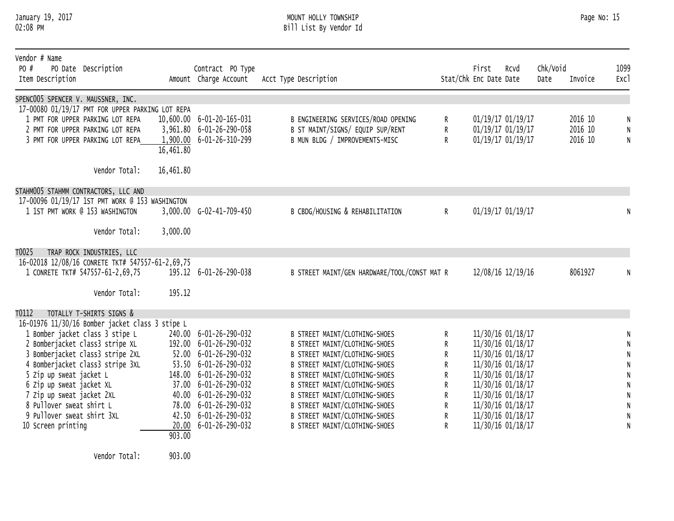#### January 19, 2017 MOUNT HOLLY TOWNSHIP Page No: 15 02:08 PM Bill List By Vendor Id

| Vendor # Name<br>PO #<br>Item Description             | PO Date Description                                                                     |                        | Contract PO Type<br>Amount Charge Account      | Acct Type Description                                          |                | First<br>Stat/Chk Enc Date Date | Rcvd                                   | Chk/Void<br>Date | Invoice | 1099<br>Exc1 |
|-------------------------------------------------------|-----------------------------------------------------------------------------------------|------------------------|------------------------------------------------|----------------------------------------------------------------|----------------|---------------------------------|----------------------------------------|------------------|---------|--------------|
| SPENC005 SPENCER V. MAUSSNER, INC.                    |                                                                                         |                        |                                                |                                                                |                |                                 |                                        |                  |         |              |
|                                                       | 17-00080 01/19/17 PMT FOR UPPER PARKING LOT REPA                                        |                        |                                                |                                                                |                |                                 |                                        |                  |         |              |
|                                                       | 1 PMT FOR UPPER PARKING LOT REPA                                                        |                        | 10,600.00 6-01-20-165-031                      | B ENGINEERING SERVICES/ROAD OPENING                            | R              |                                 | 01/19/17 01/19/17                      |                  | 2016 10 | N            |
|                                                       | 2 PMT FOR UPPER PARKING LOT REPA                                                        |                        | 3,961.80 6-01-26-290-058                       | B ST MAINT/SIGNS/ EQUIP SUP/RENT                               | R              |                                 | 01/19/17 01/19/17                      |                  | 2016 10 | N            |
|                                                       | 3 PMT FOR UPPER PARKING LOT REPA                                                        |                        | 1,900.00 6-01-26-310-299                       | B MUN BLDG / IMPROVEMENTS-MISC                                 | R              |                                 | 01/19/17 01/19/17                      |                  | 2016 10 | ${\sf N}$    |
|                                                       |                                                                                         | $16,461.\overline{80}$ |                                                |                                                                |                |                                 |                                        |                  |         |              |
|                                                       |                                                                                         |                        |                                                |                                                                |                |                                 |                                        |                  |         |              |
|                                                       | Vendor Total:                                                                           | 16,461.80              |                                                |                                                                |                |                                 |                                        |                  |         |              |
|                                                       |                                                                                         |                        |                                                |                                                                |                |                                 |                                        |                  |         |              |
|                                                       | STAHM005 STAHMM CONTRACTORS, LLC AND<br>17-00096 01/19/17 1ST PMT WORK @ 153 WASHINGTON |                        |                                                |                                                                |                |                                 |                                        |                  |         |              |
|                                                       | 1 1ST PMT WORK @ 153 WASHINGTON                                                         |                        | 3,000.00 G-02-41-709-450                       | B CBDG/HOUSING & REHABILITATION                                | $\mathsf{R}^-$ |                                 | 01/19/17 01/19/17                      |                  |         |              |
|                                                       |                                                                                         |                        |                                                |                                                                |                |                                 |                                        |                  |         |              |
|                                                       | Vendor Total:                                                                           | 3,000.00               |                                                |                                                                |                |                                 |                                        |                  |         |              |
|                                                       |                                                                                         |                        |                                                |                                                                |                |                                 |                                        |                  |         |              |
| T0025                                                 | TRAP ROCK INDUSTRIES, LLC                                                               |                        |                                                |                                                                |                |                                 |                                        |                  |         |              |
|                                                       | 16-02018 12/08/16 CONRETE TKT# 547557-61-2,69,75                                        |                        |                                                |                                                                |                |                                 |                                        |                  |         |              |
|                                                       | 1 CONRETE TKT# 547557-61-2,69,75                                                        |                        | 195.12 6-01-26-290-038                         | B STREET MAINT/GEN HARDWARE/TOOL/CONST MAT R                   |                |                                 | 12/08/16 12/19/16                      |                  | 8061927 |              |
|                                                       |                                                                                         |                        |                                                |                                                                |                |                                 |                                        |                  |         |              |
|                                                       | Vendor Total:                                                                           | 195.12                 |                                                |                                                                |                |                                 |                                        |                  |         |              |
|                                                       |                                                                                         |                        |                                                |                                                                |                |                                 |                                        |                  |         |              |
| T0112                                                 | TOTALLY T-SHIRTS SIGNS &                                                                |                        |                                                |                                                                |                |                                 |                                        |                  |         |              |
|                                                       | 16-01976 11/30/16 Bomber jacket class 3 stipe L                                         |                        |                                                |                                                                |                |                                 |                                        |                  |         |              |
|                                                       | 1 Bomber jacket class 3 stipe L                                                         |                        | 240.00 6-01-26-290-032                         | B STREET MAINT/CLOTHING-SHOES                                  | R              |                                 | 11/30/16 01/18/17                      |                  |         |              |
|                                                       | 2 Bomberjacket class3 stripe XL                                                         |                        | 192.00 6-01-26-290-032                         | B STREET MAINT/CLOTHING-SHOES                                  | R              |                                 | 11/30/16 01/18/17                      |                  |         | N            |
|                                                       | 3 Bomberjacket class3 stripe 2XL                                                        |                        | 52.00 6-01-26-290-032                          | B STREET MAINT/CLOTHING-SHOES                                  | R              |                                 | 11/30/16 01/18/17                      |                  |         | N            |
|                                                       | 4 Bomberjacket class3 stripe 3XL                                                        |                        | 53.50 6-01-26-290-032                          | B STREET MAINT/CLOTHING-SHOES                                  | R              |                                 | 11/30/16 01/18/17                      |                  |         | N            |
| 5 Zip up sweat jacket L                               |                                                                                         |                        | 148.00 6-01-26-290-032                         | B STREET MAINT/CLOTHING-SHOES                                  | R              |                                 | 11/30/16 01/18/17                      |                  |         | N            |
| 6 Zip up sweat jacket XL                              |                                                                                         |                        | 37.00 6-01-26-290-032                          | B STREET MAINT/CLOTHING-SHOES                                  | R.             |                                 | 11/30/16 01/18/17                      |                  |         | N            |
| 7 Zip up sweat jacket 2XL<br>8 Pullover sweat shirt L |                                                                                         |                        | 40.00 6-01-26-290-032<br>78.00 6-01-26-290-032 | B STREET MAINT/CLOTHING-SHOES                                  | R              |                                 | 11/30/16 01/18/17                      |                  |         | N            |
| 9 Pullover sweat shirt 3XL                            |                                                                                         |                        | 42.50 6-01-26-290-032                          | B STREET MAINT/CLOTHING-SHOES<br>B STREET MAINT/CLOTHING-SHOES | R.             |                                 | 11/30/16 01/18/17<br>11/30/16 01/18/17 |                  |         | N            |
| 10 Screen printing                                    |                                                                                         |                        | 20.00 6-01-26-290-032                          | B STREET MAINT/CLOTHING-SHOES                                  | R<br>R         |                                 | 11/30/16 01/18/17                      |                  |         | N<br>N       |
|                                                       |                                                                                         | 903.00                 |                                                |                                                                |                |                                 |                                        |                  |         |              |
|                                                       |                                                                                         |                        |                                                |                                                                |                |                                 |                                        |                  |         |              |

Vendor Total: 903.00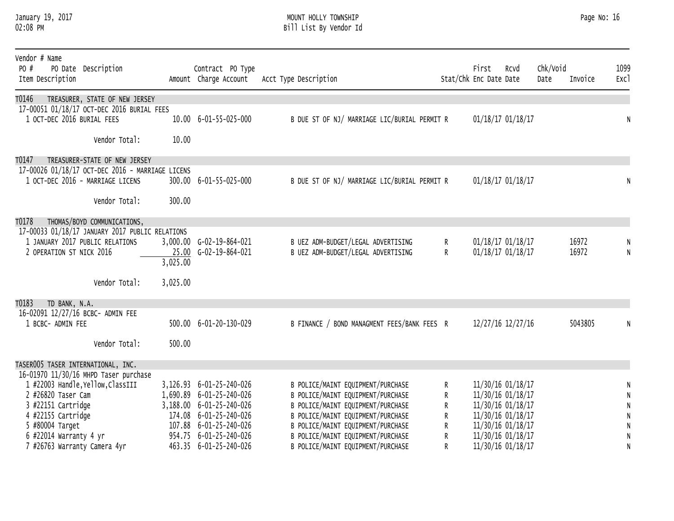#### January 19, 2017 MOUNT HOLLY TOWNSHIP Page No: 16 02:08 PM Bill List By Vendor Id

| Vendor # Name<br>PO #<br>Item Description | PO Date Description                              |          | Contract PO Type<br>Amount Charge Account | Acct Type Description                        |              | First<br>Stat/Chk Enc Date Date | Rcvd              | Chk/Void<br>Date | Invoice | 1099<br>Exc1 |
|-------------------------------------------|--------------------------------------------------|----------|-------------------------------------------|----------------------------------------------|--------------|---------------------------------|-------------------|------------------|---------|--------------|
| T0146                                     | TREASURER, STATE OF NEW JERSEY                   |          |                                           |                                              |              |                                 |                   |                  |         |              |
| 1 OCT-DEC 2016 BURIAL FEES                | 17-00051 01/18/17 OCT-DEC 2016 BURIAL FEES       |          | 10.00 6-01-55-025-000                     | B DUE ST OF NJ/ MARRIAGE LIC/BURIAL PERMIT R |              |                                 | 01/18/17 01/18/17 |                  |         | N            |
|                                           | Vendor Total:                                    | 10.00    |                                           |                                              |              |                                 |                   |                  |         |              |
| T0147                                     | TREASURER-STATE OF NEW JERSEY                    |          |                                           |                                              |              |                                 |                   |                  |         |              |
|                                           | 17-00026 01/18/17 OCT-DEC 2016 - MARRIAGE LICENS |          |                                           |                                              |              |                                 |                   |                  |         |              |
|                                           | 1 OCT-DEC 2016 - MARRIAGE LICENS                 |          | 300.00 6-01-55-025-000                    | B DUE ST OF NJ/ MARRIAGE LIC/BURIAL PERMIT R |              |                                 | 01/18/17 01/18/17 |                  |         | N            |
|                                           | Vendor Total:                                    | 300.00   |                                           |                                              |              |                                 |                   |                  |         |              |
| T0178                                     | THOMAS/BOYD COMMUNICATIONS,                      |          |                                           |                                              |              |                                 |                   |                  |         |              |
|                                           | 17-00033 01/18/17 JANUARY 2017 PUBLIC RELATIONS  |          |                                           |                                              |              |                                 |                   |                  |         |              |
|                                           | 1 JANUARY 2017 PUBLIC RELATIONS                  |          | 3,000.00 G-02-19-864-021                  | B UEZ ADM-BUDGET/LEGAL ADVERTISING           | R.           |                                 | 01/18/17 01/18/17 |                  | 16972   |              |
| 2 OPERATION ST NICK 2016                  |                                                  |          | 25.00 G-02-19-864-021                     | B UEZ ADM-BUDGET/LEGAL ADVERTISING           | $\mathsf{R}$ |                                 | 01/18/17 01/18/17 |                  | 16972   | N            |
|                                           |                                                  | 3,025.00 |                                           |                                              |              |                                 |                   |                  |         |              |
|                                           | Vendor Total:                                    | 3,025.00 |                                           |                                              |              |                                 |                   |                  |         |              |
| TD BANK, N.A.<br>T0183                    |                                                  |          |                                           |                                              |              |                                 |                   |                  |         |              |
| 16-02091 12/27/16 BCBC- ADMIN FEE         |                                                  |          |                                           |                                              |              |                                 |                   |                  |         |              |
| 1 BCBC- ADMIN FEE                         |                                                  |          | 500.00 6-01-20-130-029                    | B FINANCE / BOND MANAGMENT FEES/BANK FEES R  |              |                                 | 12/27/16 12/27/16 |                  | 5043805 |              |
|                                           | Vendor Total:                                    | 500.00   |                                           |                                              |              |                                 |                   |                  |         |              |
| TASER005 TASER INTERNATIONAL, INC.        |                                                  |          |                                           |                                              |              |                                 |                   |                  |         |              |
|                                           | 16-01970 11/30/16 MHPD Taser purchase            |          |                                           |                                              |              |                                 |                   |                  |         |              |
|                                           | 1 #22003 Handle, Yellow, ClassIII                |          | 3,126.93 6-01-25-240-026                  | B POLICE/MAINT EQUIPMENT/PURCHASE            | R.           |                                 | 11/30/16 01/18/17 |                  |         | N            |
| 2 #26820 Taser Cam                        |                                                  |          | 1,690.89 6-01-25-240-026                  | B POLICE/MAINT EQUIPMENT/PURCHASE            | R.           |                                 | 11/30/16 01/18/17 |                  |         | N            |
| 3 #22151 Cartridge                        |                                                  |          | 3,188.00 6-01-25-240-026                  | B POLICE/MAINT EQUIPMENT/PURCHASE            | R.           |                                 | 11/30/16 01/18/17 |                  |         | N            |
| 4 #22155 Cartridge                        |                                                  |          | 174.08 6-01-25-240-026                    | B POLICE/MAINT EQUIPMENT/PURCHASE            | R            |                                 | 11/30/16 01/18/17 |                  |         |              |
| 5 #80004 Target                           |                                                  |          | 107.88 6-01-25-240-026                    | B POLICE/MAINT EQUIPMENT/PURCHASE            | R            |                                 | 11/30/16 01/18/17 |                  |         |              |
| 6 #22014 Warranty 4 yr                    |                                                  |          | 954.75 6-01-25-240-026                    | B POLICE/MAINT EQUIPMENT/PURCHASE            | R            |                                 | 11/30/16 01/18/17 |                  |         |              |
| 7 #26763 Warranty Camera 4yr              |                                                  |          | 463.35 6-01-25-240-026                    | B POLICE/MAINT EQUIPMENT/PURCHASE            | R            |                                 | 11/30/16 01/18/17 |                  |         | N            |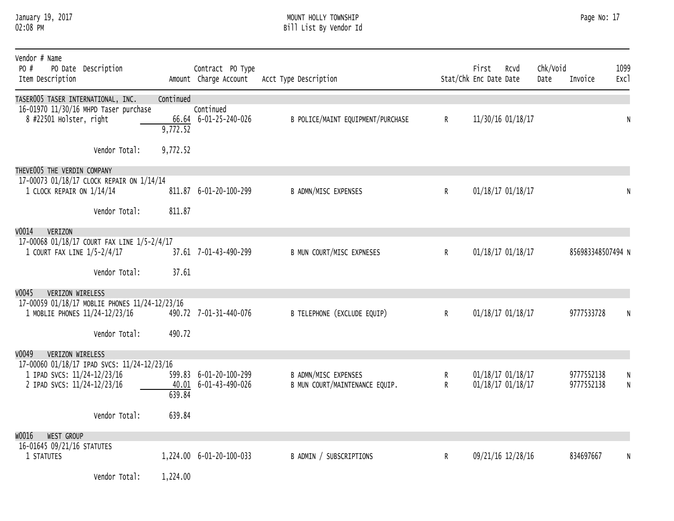#### January 19, 2017 MOUNT HOLLY TOWNSHIP Page No: 17 02:08 PM Bill List By Vendor Id

| Vendor # Name<br>PO #<br>PO Date Description<br>Item Description                 |           | Contract PO Type<br>Amount Charge Account | Acct Type Description             |              | First<br>Stat/Chk Enc Date Date | RCVd              | Chk/Void<br>Date | Invoice           | 1099<br>Exc1 |
|----------------------------------------------------------------------------------|-----------|-------------------------------------------|-----------------------------------|--------------|---------------------------------|-------------------|------------------|-------------------|--------------|
| TASER005 TASER INTERNATIONAL, INC.<br>16-01970 11/30/16 MHPD Taser purchase      | Continued | Continued                                 |                                   |              |                                 |                   |                  |                   |              |
| 8 #22501 Holster, right                                                          | 9,772.52  | 66.64 6-01-25-240-026                     | B POLICE/MAINT EQUIPMENT/PURCHASE | $\mathsf{R}$ |                                 | 11/30/16 01/18/17 |                  |                   | N            |
| Vendor Total:                                                                    | 9,772.52  |                                           |                                   |              |                                 |                   |                  |                   |              |
| THEVE005 THE VERDIN COMPANY                                                      |           |                                           |                                   |              |                                 |                   |                  |                   |              |
| 17-00073 01/18/17 CLOCK REPAIR ON 1/14/14<br>1 CLOCK REPAIR ON 1/14/14           |           | 811.87 6-01-20-100-299                    | B ADMN/MISC EXPENSES              | $\mathsf{R}$ |                                 | 01/18/17 01/18/17 |                  |                   | N            |
| Vendor Total:                                                                    | 811.87    |                                           |                                   |              |                                 |                   |                  |                   |              |
| V0014<br><b>VERIZON</b>                                                          |           |                                           |                                   |              |                                 |                   |                  |                   |              |
| 17-00068 01/18/17 COURT FAX LINE 1/5-2/4/17<br>1 COURT FAX LINE 1/5-2/4/17       |           | 37.61 7-01-43-490-299                     | B MUN COURT/MISC EXPNESES         | $\mathsf{R}$ |                                 | 01/18/17 01/18/17 |                  | 856983348507494 N |              |
| Vendor Total:                                                                    | 37.61     |                                           |                                   |              |                                 |                   |                  |                   |              |
| V0045<br>VERIZON WIRELESS                                                        |           |                                           |                                   |              |                                 |                   |                  |                   |              |
| 17-00059 01/18/17 MOBLIE PHONES 11/24-12/23/16<br>1 MOBLIE PHONES 11/24-12/23/16 |           | 490.72 7-01-31-440-076                    | B TELEPHONE (EXCLUDE EQUIP)       | $\mathsf{R}$ |                                 | 01/18/17 01/18/17 |                  | 9777533728        |              |
| Vendor Total:                                                                    | 490.72    |                                           |                                   |              |                                 |                   |                  |                   |              |
| v0049<br>VERIZON WIRELESS                                                        |           |                                           |                                   |              |                                 |                   |                  |                   |              |
| 17-00060 01/18/17 IPAD SVCS: 11/24-12/23/16<br>1 IPAD SVCS: 11/24-12/23/16       |           | 599.83 6-01-20-100-299                    | <b>B ADMN/MISC EXPENSES</b>       | R            |                                 | 01/18/17 01/18/17 |                  | 9777552138        | N            |
| 2 IPAD SVCS: 11/24-12/23/16                                                      | 639.84    | 40.01 6-01-43-490-026                     | B MUN COURT/MAINTENANCE EQUIP.    | R            |                                 | 01/18/17 01/18/17 |                  | 9777552138        | N            |
| Vendor Total:                                                                    | 639.84    |                                           |                                   |              |                                 |                   |                  |                   |              |
| WO016<br>WEST GROUP                                                              |           |                                           |                                   |              |                                 |                   |                  |                   |              |
| 16-01645 09/21/16 STATUTES<br>1 STATUTES                                         |           | 1,224.00 6-01-20-100-033                  | B ADMIN / SUBSCRIPTIONS           | R            |                                 | 09/21/16 12/28/16 |                  | 834697667         | N            |
| Vendor Total:                                                                    | 1,224.00  |                                           |                                   |              |                                 |                   |                  |                   |              |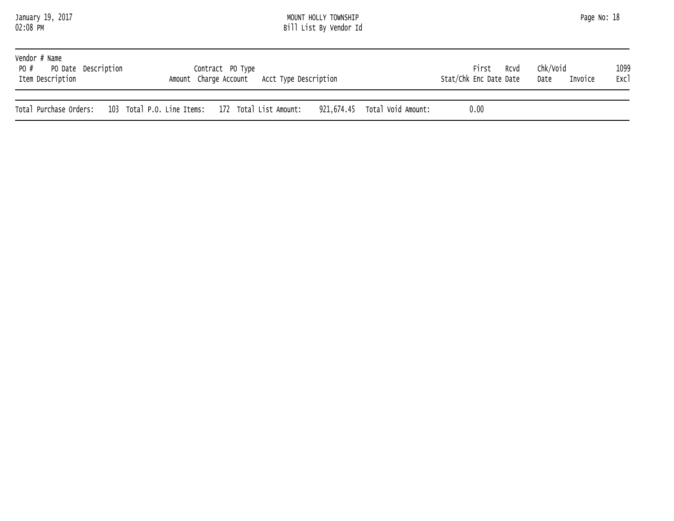| January 19, 2017 |  |
|------------------|--|
| 02:08 PM         |  |

#### January 19, 2017 MOUNT HOLLY TOWNSHIP Page No: 18 02:08 PM Bill List By Vendor Id

| Vendor # Name<br>PO # PO Date Description<br>Item Description | Contract PO Type<br>Amount Charge Account Acct Type Description |  | First<br>Stat/Chk Enc Date Date | RCVd | Chk/Void<br>Date | Invoice | 1099<br>Exc1 |
|---------------------------------------------------------------|-----------------------------------------------------------------|--|---------------------------------|------|------------------|---------|--------------|
| Total Purchase Orders:                                        | 103 Total P.O. Line Items: 172 Total List Amount:               |  | 0.00                            |      |                  |         |              |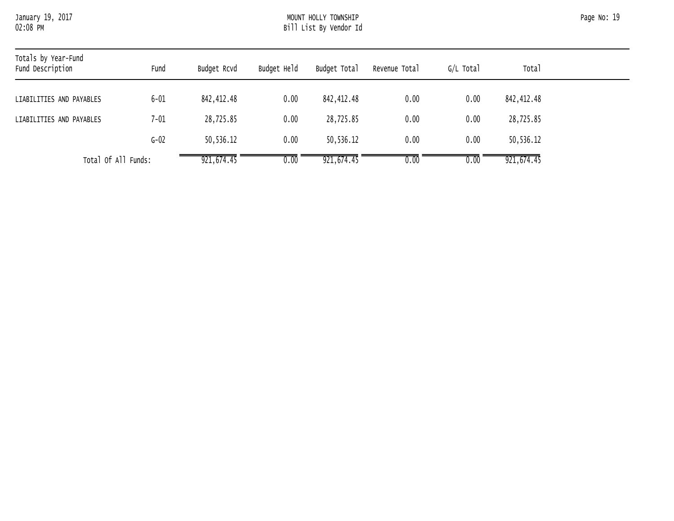# January 19, 2017 MOUNT HOLLY TOWNSHIP Page No: 19 Bill List By Vendor Id

| Totals by Year-Fund<br>Fund Description | Fund     | Budget Rcvd | Budget Held | Budget Total | Revenue Total | G/L Total | Total       |
|-----------------------------------------|----------|-------------|-------------|--------------|---------------|-----------|-------------|
| LIABILITIES AND PAYABLES                | $6 - 01$ | 842,412.48  | 0.00        | 842,412.48   | 0.00          | 0.00      | 842,412.48  |
| LIABILITIES AND PAYABLES                | 7-01     | 28,725.85   | 0.00        | 28,725.85    | 0.00          | 0.00      | 28,725.85   |
|                                         | $G-02$   | 50,536.12   | 0.00        | 50,536.12    | 0.00          | 0.00      | 50,536.12   |
| Total Of All Funds:                     |          | 921,674.45  | 0.00        | 921,674.45   | 0.00          | 0.00      | 921, 674.45 |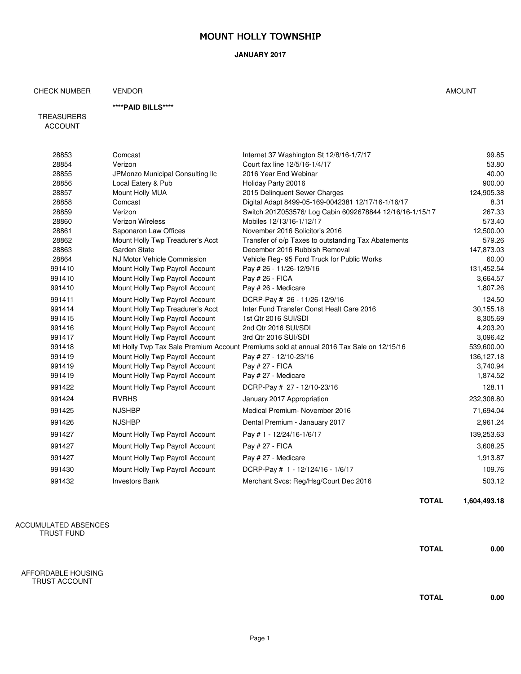#### **JANUARY 2017**

## CHECK NUMBER VENDOR AMOUNT

#### **\*\*\*\*PAID BILLS\*\*\*\***

TREASURERS ACCOUNT

| 28853  | Comcast                          | Internet 37 Washington St 12/8/16-1/7/17                                                | 99.85      |
|--------|----------------------------------|-----------------------------------------------------------------------------------------|------------|
| 28854  | Verizon                          | Court fax line 12/5/16-1/4/17                                                           | 53.80      |
| 28855  | JPMonzo Municipal Consulting Ilc | 2016 Year End Webinar                                                                   | 40.00      |
| 28856  | Local Eatery & Pub               | Holiday Party 20016                                                                     | 900.00     |
| 28857  | Mount Holly MUA                  | 2015 Delinquent Sewer Charges                                                           | 124,905.38 |
| 28858  | Comcast                          | Digital Adapt 8499-05-169-0042381 12/17/16-1/16/17                                      | 8.31       |
| 28859  | Verizon                          | Switch 201Z053576/ Log Cabin 6092678844 12/16/16-1/15/17                                | 267.33     |
| 28860  | Verizon Wireless                 | Mobiles 12/13/16-1/12/17                                                                | 573.40     |
| 28861  | Saponaron Law Offices            | November 2016 Solicitor's 2016                                                          | 12,500.00  |
| 28862  | Mount Holly Twp Treadurer's Acct | Transfer of o/p Taxes to outstanding Tax Abatements                                     | 579.26     |
| 28863  | Garden State                     | December 2016 Rubbish Removal                                                           | 147,873.03 |
| 28864  | NJ Motor Vehicle Commission      | Vehicle Reg- 95 Ford Truck for Public Works                                             | 60.00      |
| 991410 | Mount Holly Twp Payroll Account  | Pay # 26 - 11/26-12/9/16                                                                | 131,452.54 |
| 991410 | Mount Holly Twp Payroll Account  | Pay # 26 - FICA                                                                         | 3,664.57   |
| 991410 | Mount Holly Twp Payroll Account  | Pay # 26 - Medicare                                                                     | 1,807.26   |
| 991411 | Mount Holly Twp Payroll Account  | DCRP-Pay # 26 - 11/26-12/9/16                                                           | 124.50     |
| 991414 | Mount Holly Twp Treadurer's Acct | Inter Fund Transfer Const Healt Care 2016                                               | 30,155.18  |
| 991415 | Mount Holly Twp Payroll Account  | 1st Qtr 2016 SUI/SDI                                                                    | 8,305.69   |
| 991416 | Mount Holly Twp Payroll Account  | 2nd Qtr 2016 SUI/SDI                                                                    | 4,203.20   |
| 991417 | Mount Holly Twp Payroll Account  | 3rd Qtr 2016 SUI/SDI                                                                    | 3,096.42   |
| 991418 |                                  | Mt Holly Twp Tax Sale Premium Account Premiums sold at annual 2016 Tax Sale on 12/15/16 | 539,600.00 |
| 991419 | Mount Holly Twp Payroll Account  | Pay # 27 - 12/10-23/16                                                                  | 136,127.18 |
| 991419 | Mount Holly Twp Payroll Account  | Pay # 27 - FICA                                                                         | 3,740.94   |
| 991419 | Mount Holly Twp Payroll Account  | Pay # 27 - Medicare                                                                     | 1,874.52   |
| 991422 | Mount Holly Twp Payroll Account  | DCRP-Pay # 27 - 12/10-23/16                                                             | 128.11     |
| 991424 | <b>RVRHS</b>                     | January 2017 Appropriation                                                              | 232,308.80 |
| 991425 | <b>NJSHBP</b>                    | Medical Premium- November 2016                                                          | 71,694.04  |
| 991426 | <b>NJSHBP</b>                    | Dental Premium - Janauary 2017                                                          | 2,961.24   |
| 991427 | Mount Holly Twp Payroll Account  | Pay #1 - 12/24/16-1/6/17                                                                | 139,253.63 |
| 991427 | Mount Holly Twp Payroll Account  | Pay # 27 - FICA                                                                         | 3,608.25   |
| 991427 | Mount Holly Twp Payroll Account  | Pay # 27 - Medicare                                                                     | 1,913.87   |
| 991430 | Mount Holly Twp Payroll Account  | DCRP-Pay # 1 - 12/124/16 - 1/6/17                                                       | 109.76     |
| 991432 | <b>Investors Bank</b>            | Merchant Svcs: Reg/Hsg/Court Dec 2016                                                   | 503.12     |
|        |                                  |                                                                                         |            |

ACCUMULATED ABSENCES TRUST FUND

AFFORDABLE HOUSING TRUST ACCOUNT

**TOTAL 1,604,493.18**

**TOTAL 0.00**

**TOTAL 0.00**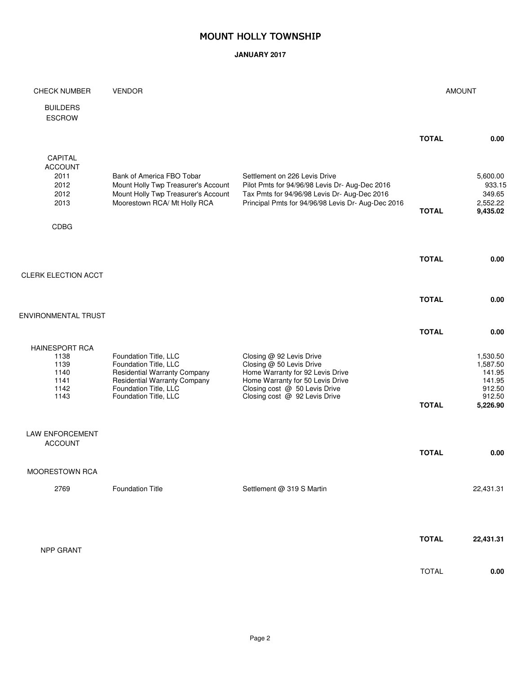#### **JANUARY 2017**

| <b>CHECK NUMBER</b>                                                   | <b>VENDOR</b>                                                                                                                                                                  |                                                                                                                                                                                                |              | <b>AMOUNT</b>                                                            |
|-----------------------------------------------------------------------|--------------------------------------------------------------------------------------------------------------------------------------------------------------------------------|------------------------------------------------------------------------------------------------------------------------------------------------------------------------------------------------|--------------|--------------------------------------------------------------------------|
| <b>BUILDERS</b><br><b>ESCROW</b>                                      |                                                                                                                                                                                |                                                                                                                                                                                                |              |                                                                          |
|                                                                       |                                                                                                                                                                                |                                                                                                                                                                                                | <b>TOTAL</b> | 0.00                                                                     |
| CAPITAL<br><b>ACCOUNT</b><br>2011<br>2012<br>2012<br>2013             | Bank of America FBO Tobar<br>Mount Holly Twp Treasurer's Account<br>Mount Holly Twp Treasurer's Account<br>Moorestown RCA/ Mt Holly RCA                                        | Settlement on 226 Levis Drive<br>Pilot Pmts for 94/96/98 Levis Dr- Aug-Dec 2016<br>Tax Pmts for 94/96/98 Levis Dr- Aug-Dec 2016<br>Principal Pmts for 94/96/98 Levis Dr- Aug-Dec 2016          | <b>TOTAL</b> | 5,600.00<br>933.15<br>349.65<br>2,552.22<br>9,435.02                     |
| <b>CDBG</b>                                                           |                                                                                                                                                                                |                                                                                                                                                                                                |              |                                                                          |
| CLERK ELECTION ACCT                                                   |                                                                                                                                                                                |                                                                                                                                                                                                | <b>TOTAL</b> | 0.00                                                                     |
|                                                                       |                                                                                                                                                                                |                                                                                                                                                                                                |              |                                                                          |
| ENVIRONMENTAL TRUST                                                   |                                                                                                                                                                                |                                                                                                                                                                                                | <b>TOTAL</b> | 0.00                                                                     |
|                                                                       |                                                                                                                                                                                |                                                                                                                                                                                                | <b>TOTAL</b> | 0.00                                                                     |
| <b>HAINESPORT RCA</b><br>1138<br>1139<br>1140<br>1141<br>1142<br>1143 | Foundation Title, LLC<br>Foundation Title, LLC<br><b>Residential Warranty Company</b><br><b>Residential Warranty Company</b><br>Foundation Title, LLC<br>Foundation Title, LLC | Closing @ 92 Levis Drive<br>Closing @ 50 Levis Drive<br>Home Warranty for 92 Levis Drive<br>Home Warranty for 50 Levis Drive<br>Closing cost @ 50 Levis Drive<br>Closing cost @ 92 Levis Drive | <b>TOTAL</b> | 1,530.50<br>1,587.50<br>141.95<br>141.95<br>912.50<br>912.50<br>5,226.90 |
| <b>LAW ENFORCEMENT</b>                                                |                                                                                                                                                                                |                                                                                                                                                                                                |              |                                                                          |
| <b>ACCOUNT</b>                                                        |                                                                                                                                                                                |                                                                                                                                                                                                | <b>TOTAL</b> | 0.00                                                                     |
| MOORESTOWN RCA                                                        |                                                                                                                                                                                |                                                                                                                                                                                                |              |                                                                          |
| 2769                                                                  | <b>Foundation Title</b>                                                                                                                                                        | Settlement @ 319 S Martin                                                                                                                                                                      |              | 22,431.31                                                                |
|                                                                       |                                                                                                                                                                                |                                                                                                                                                                                                |              |                                                                          |
|                                                                       |                                                                                                                                                                                |                                                                                                                                                                                                | <b>TOTAL</b> | 22,431.31                                                                |
| NPP GRANT                                                             |                                                                                                                                                                                |                                                                                                                                                                                                |              |                                                                          |
|                                                                       |                                                                                                                                                                                |                                                                                                                                                                                                | <b>TOTAL</b> | 0.00                                                                     |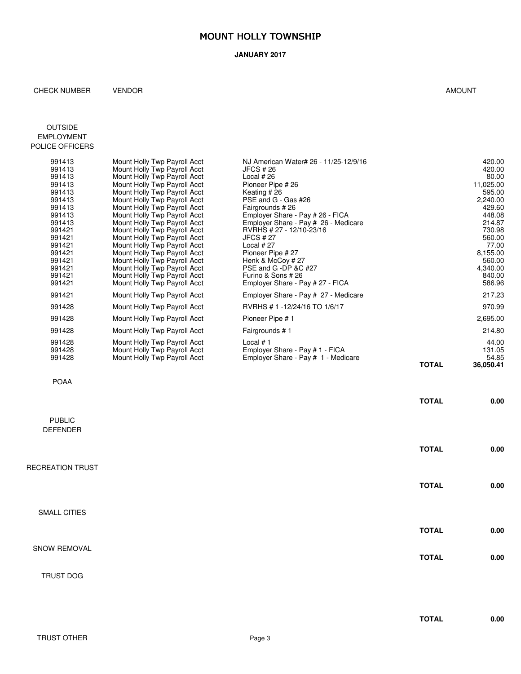#### **JANUARY 2017**

#### CHECK NUMBER VENDOR **AMOUNT**

#### OUTSIDE EMPLOYMENT POLICE OFFICERS

| 991413 | Mount Holly Twp Payroll Acct | NJ American Water# 26 - 11/25-12/9/16 |              | 420.00    |
|--------|------------------------------|---------------------------------------|--------------|-----------|
| 991413 | Mount Holly Twp Payroll Acct | JFCS # 26                             |              | 420.00    |
| 991413 | Mount Holly Twp Payroll Acct | Local $#26$                           |              | 80.00     |
| 991413 | Mount Holly Twp Payroll Acct | Pioneer Pipe #26                      |              | 11,025.00 |
| 991413 | Mount Holly Twp Payroll Acct | Keating #26                           |              | 595.00    |
| 991413 | Mount Holly Twp Payroll Acct | PSE and G - Gas #26                   |              | 2,240.00  |
| 991413 | Mount Holly Twp Payroll Acct | Fairgrounds # 26                      |              | 429.60    |
| 991413 | Mount Holly Twp Payroll Acct | Employer Share - Pay # 26 - FICA      |              | 448.08    |
| 991413 | Mount Holly Twp Payroll Acct | Employer Share - Pay # 26 - Medicare  |              | 214.87    |
| 991421 | Mount Holly Twp Payroll Acct | RVRHS # 27 - 12/10-23/16              |              | 730.98    |
| 991421 | Mount Holly Twp Payroll Acct | JFCS # 27                             |              | 560.00    |
| 991421 | Mount Holly Twp Payroll Acct | Local $#27$                           |              | 77.00     |
| 991421 | Mount Holly Twp Payroll Acct | Pioneer Pipe #27                      |              | 8,155.00  |
| 991421 | Mount Holly Twp Payroll Acct | Henk & McCoy # 27                     |              | 560.00    |
| 991421 | Mount Holly Twp Payroll Acct | PSE and G -DP &C #27                  |              | 4,340.00  |
| 991421 | Mount Holly Twp Payroll Acct | Furino & Sons # 26                    |              | 840.00    |
| 991421 | Mount Holly Twp Payroll Acct | Employer Share - Pay # 27 - FICA      |              | 586.96    |
| 991421 | Mount Holly Twp Payroll Acct | Employer Share - Pay # 27 - Medicare  |              | 217.23    |
| 991428 | Mount Holly Twp Payroll Acct | RVRHS # 1 -12/24/16 TO 1/6/17         |              | 970.99    |
| 991428 | Mount Holly Twp Payroll Acct | Pioneer Pipe # 1                      |              | 2,695.00  |
| 991428 | Mount Holly Twp Payroll Acct | Fairgrounds #1                        |              | 214.80    |
| 991428 | Mount Holly Twp Payroll Acct | Local $# 1$                           |              | 44.00     |
| 991428 | Mount Holly Twp Payroll Acct | Employer Share - Pay # 1 - FICA       |              | 131.05    |
| 991428 | Mount Holly Twp Payroll Acct | Employer Share - Pay # 1 - Medicare   |              | 54.85     |
|        |                              |                                       | <b>TOTAL</b> | 36,050.41 |

#### POAA

|                                  | <b>TOTAL</b> | 0.00 |
|----------------------------------|--------------|------|
| <b>PUBLIC</b><br><b>DEFENDER</b> |              |      |
|                                  | <b>TOTAL</b> | 0.00 |
| RECREATION TRUST                 |              |      |
|                                  | <b>TOTAL</b> | 0.00 |
| SMALL CITIES                     |              |      |
|                                  | <b>TOTAL</b> | 0.00 |
| SNOW REMOVAL                     | <b>TOTAL</b> | 0.00 |

## TRUST DOG

**TOTAL 0.00**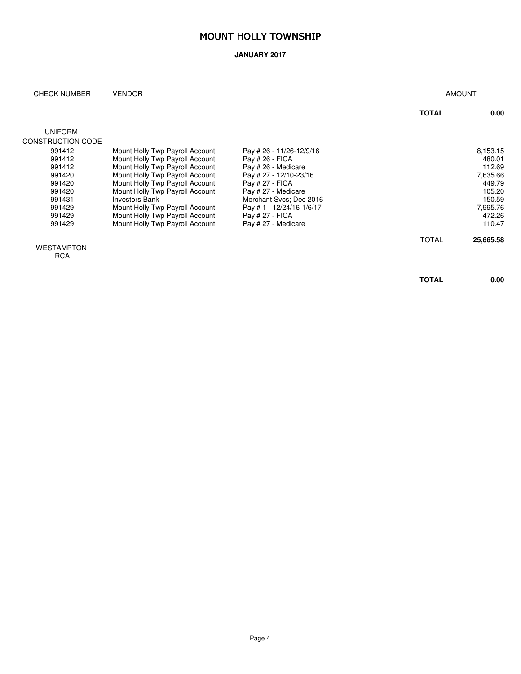#### **JANUARY 2017**

#### CHECK NUMBER VENDOR AMOUNT

|                   |                                 |                          | <b>TOTAL</b> | 0.00      |
|-------------------|---------------------------------|--------------------------|--------------|-----------|
|                   |                                 |                          |              |           |
| <b>UNIFORM</b>    |                                 |                          |              |           |
| CONSTRUCTION CODE |                                 |                          |              |           |
| 991412            | Mount Holly Twp Payroll Account | Pay # 26 - 11/26-12/9/16 |              | 8,153.15  |
| 991412            | Mount Holly Twp Payroll Account | Pay # 26 - FICA          |              | 480.01    |
| 991412            | Mount Holly Twp Payroll Account | Pay # 26 - Medicare      |              | 112.69    |
| 991420            | Mount Holly Twp Payroll Account | Pay # 27 - 12/10-23/16   |              | 7.635.66  |
| 991420            | Mount Holly Twp Payroll Account | Pay # 27 - FICA          |              | 449.79    |
| 991420            | Mount Holly Twp Payroll Account | Pay # 27 - Medicare      |              | 105.20    |
| 991431            | <b>Investors Bank</b>           | Merchant Sycs: Dec 2016  |              | 150.59    |
| 991429            | Mount Holly Twp Payroll Account | Pay #1 - 12/24/16-1/6/17 |              | 7.995.76  |
| 991429            | Mount Holly Twp Payroll Account | Pay # 27 - FICA          |              | 472.26    |
| 991429            | Mount Holly Twp Payroll Account | Pay # 27 - Medicare      |              | 110.47    |
|                   |                                 |                          | <b>TOTAL</b> | 25,665,58 |

WESTAMPTON

**RCA** 

**TOTAL 0.00**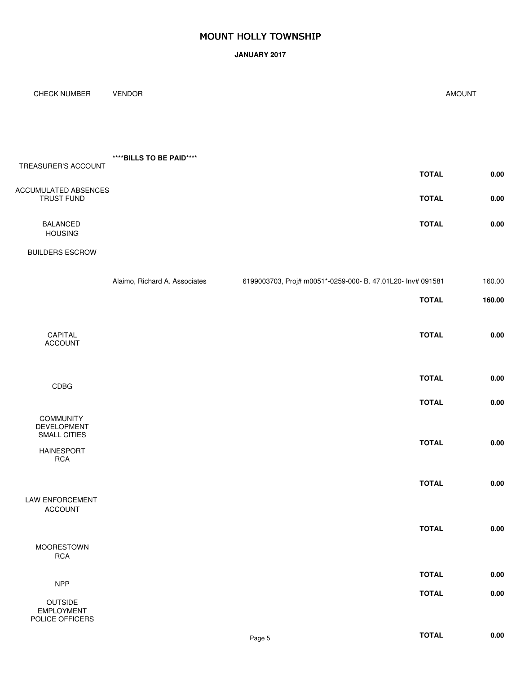#### **JANUARY 2017**

| <b>CHECK NUMBER</b>                                    | <b>VENDOR</b>                 |                                                             | <b>AMOUNT</b> |
|--------------------------------------------------------|-------------------------------|-------------------------------------------------------------|---------------|
|                                                        |                               |                                                             |               |
| TREASURER'S ACCOUNT                                    | ****BILLS TO BE PAID****      |                                                             |               |
|                                                        |                               | <b>TOTAL</b>                                                | $0.00\,$      |
| ACCUMULATED ABSENCES<br>TRUST FUND                     |                               | <b>TOTAL</b>                                                | $0.00\,$      |
| <b>BALANCED</b><br><b>HOUSING</b>                      |                               | <b>TOTAL</b>                                                | $0.00\,$      |
| <b>BUILDERS ESCROW</b>                                 |                               |                                                             |               |
|                                                        | Alaimo, Richard A. Associates | 6199003703, Proj# m0051*-0259-000- B. 47.01L20- Inv# 091581 | 160.00        |
|                                                        |                               | <b>TOTAL</b>                                                | 160.00        |
| CAPITAL<br><b>ACCOUNT</b>                              |                               | <b>TOTAL</b>                                                | $0.00\,$      |
| CDBG                                                   |                               | <b>TOTAL</b>                                                | $0.00\,$      |
|                                                        |                               | <b>TOTAL</b>                                                | $0.00\,$      |
| <b>COMMUNITY</b><br><b>DEVELOPMENT</b><br>SMALL CITIES |                               |                                                             |               |
| <b>HAINESPORT</b><br><b>RCA</b>                        |                               | <b>TOTAL</b>                                                | $0.00\,$      |
|                                                        |                               | <b>TOTAL</b>                                                | 0.00          |
| LAW ENFORCEMENT<br><b>ACCOUNT</b>                      |                               |                                                             |               |
|                                                        |                               | <b>TOTAL</b>                                                | $0.00\,$      |
| <b>MOORESTOWN</b><br>RCA                               |                               |                                                             |               |
| <b>NPP</b>                                             |                               | <b>TOTAL</b>                                                | $0.00\,$      |
| OUTSIDE                                                |                               | <b>TOTAL</b>                                                | $0.00\,$      |
| <b>EMPLOYMENT</b><br>POLICE OFFICERS                   |                               |                                                             |               |
|                                                        |                               | <b>TOTAL</b><br>Page 5                                      | 0.00          |